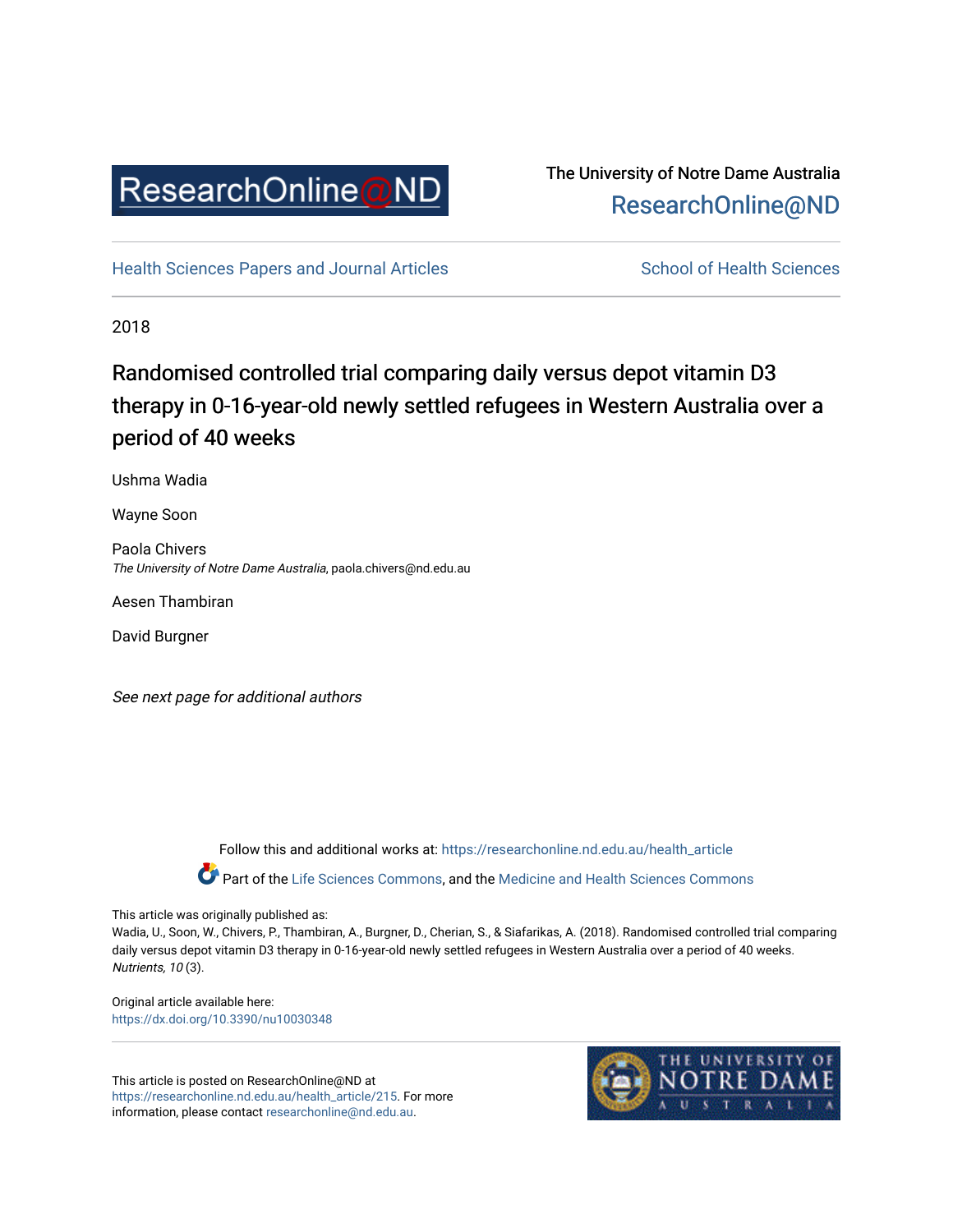

## The University of Notre Dame Australia [ResearchOnline@ND](https://researchonline.nd.edu.au/)

[Health Sciences Papers and Journal Articles](https://researchonline.nd.edu.au/health_article) School of Health Sciences

2018

# Randomised controlled trial comparing daily versus depot vitamin D3 therapy in 0-16-year-old newly settled refugees in Western Australia over a period of 40 weeks

Ushma Wadia

Wayne Soon

Paola Chivers The University of Notre Dame Australia, paola.chivers@nd.edu.au

Aesen Thambiran

David Burgner

See next page for additional authors

Follow this and additional works at: [https://researchonline.nd.edu.au/health\\_article](https://researchonline.nd.edu.au/health_article?utm_source=researchonline.nd.edu.au%2Fhealth_article%2F215&utm_medium=PDF&utm_campaign=PDFCoverPages)

Part of the [Life Sciences Commons](http://network.bepress.com/hgg/discipline/1016?utm_source=researchonline.nd.edu.au%2Fhealth_article%2F215&utm_medium=PDF&utm_campaign=PDFCoverPages), and the Medicine and Health Sciences Commons

This article was originally published as:

Wadia, U., Soon, W., Chivers, P., Thambiran, A., Burgner, D., Cherian, S., & Siafarikas, A. (2018). Randomised controlled trial comparing daily versus depot vitamin D3 therapy in 0-16-year-old newly settled refugees in Western Australia over a period of 40 weeks. Nutrients, 10 (3).

Original article available here: <https://dx.doi.org/10.3390/nu10030348>

This article is posted on ResearchOnline@ND at [https://researchonline.nd.edu.au/health\\_article/215](https://researchonline.nd.edu.au/health_article/215). For more information, please contact [researchonline@nd.edu.au.](mailto:researchonline@nd.edu.au)

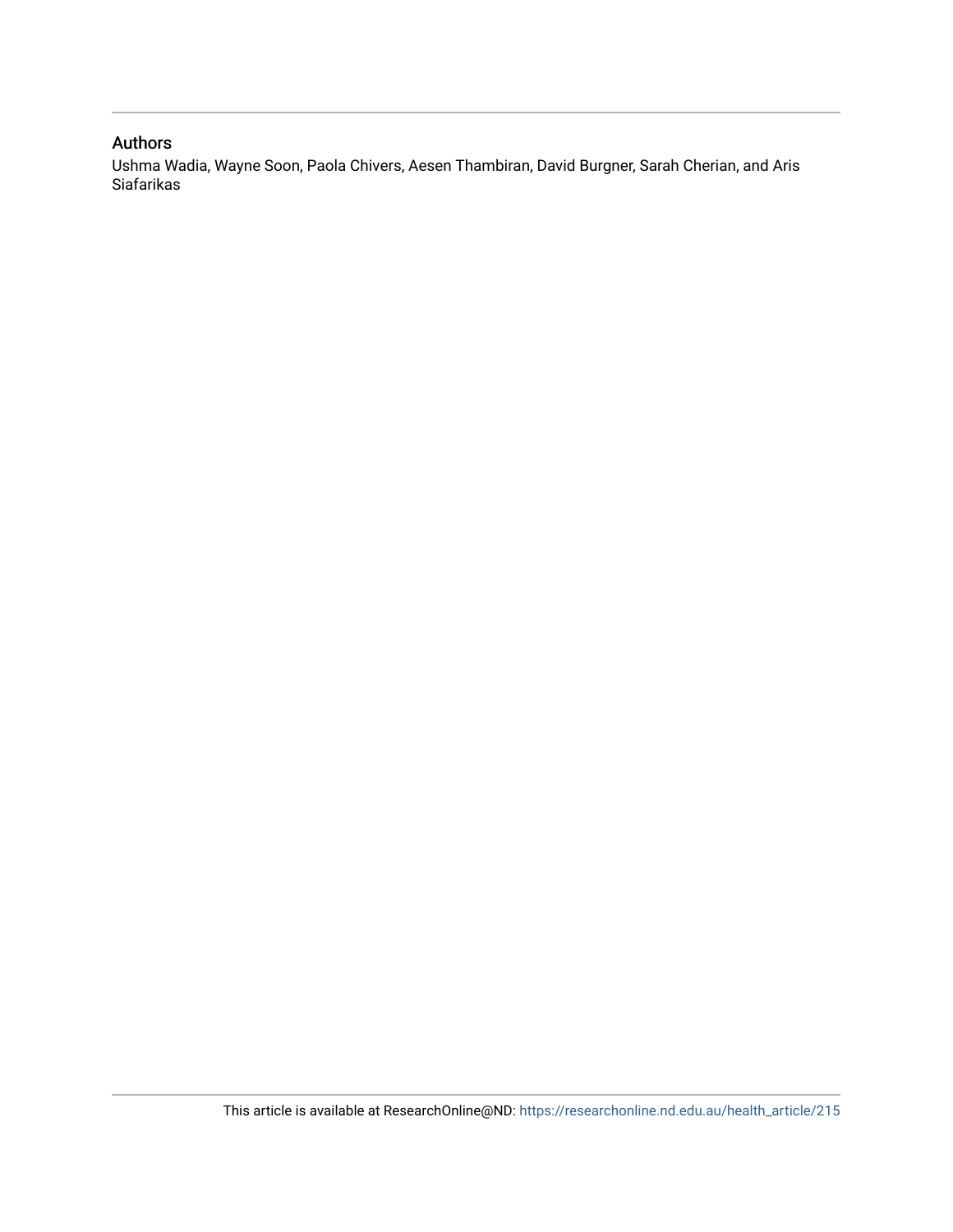### Authors

Ushma Wadia, Wayne Soon, Paola Chivers, Aesen Thambiran, David Burgner, Sarah Cherian, and Aris Siafarikas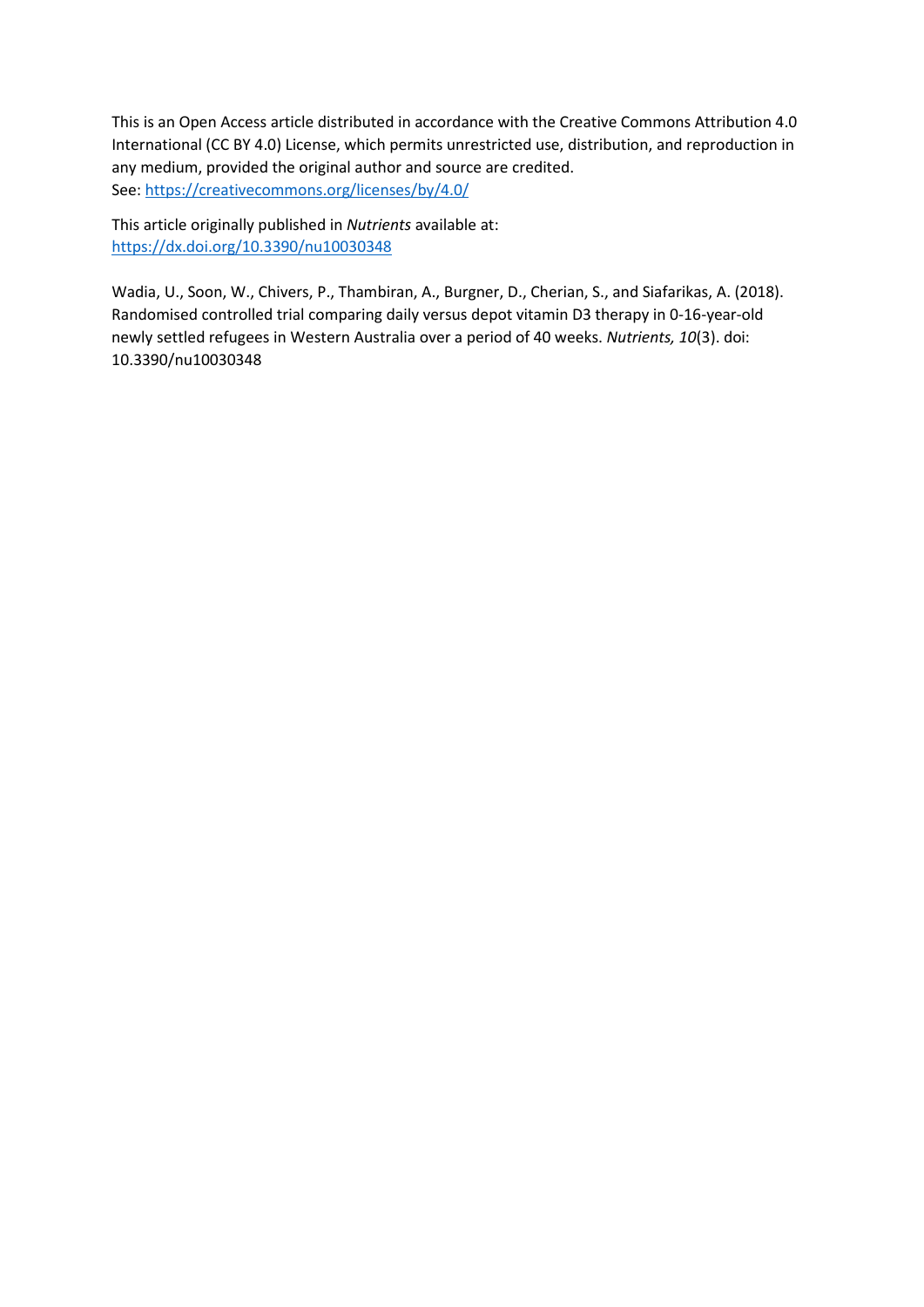This is an Open Access article distributed in accordance with the Creative Commons Attribution 4.0 International (CC BY 4.0) License, which permits unrestricted use, distribution, and reproduction in any medium, provided the original author and source are credited. See[: https://creativecommons.org/licenses/by/4.0/](https://creativecommons.org/licenses/by/4.0/) 

This article originally published in *Nutrients* available at: <https://dx.doi.org/10.3390/nu10030348>

Wadia, U., Soon, W., Chivers, P., Thambiran, A., Burgner, D., Cherian, S., and Siafarikas, A. (2018). Randomised controlled trial comparing daily versus depot vitamin D3 therapy in 0-16-year-old newly settled refugees in Western Australia over a period of 40 weeks. *Nutrients, 10*(3). doi: 10.3390/nu10030348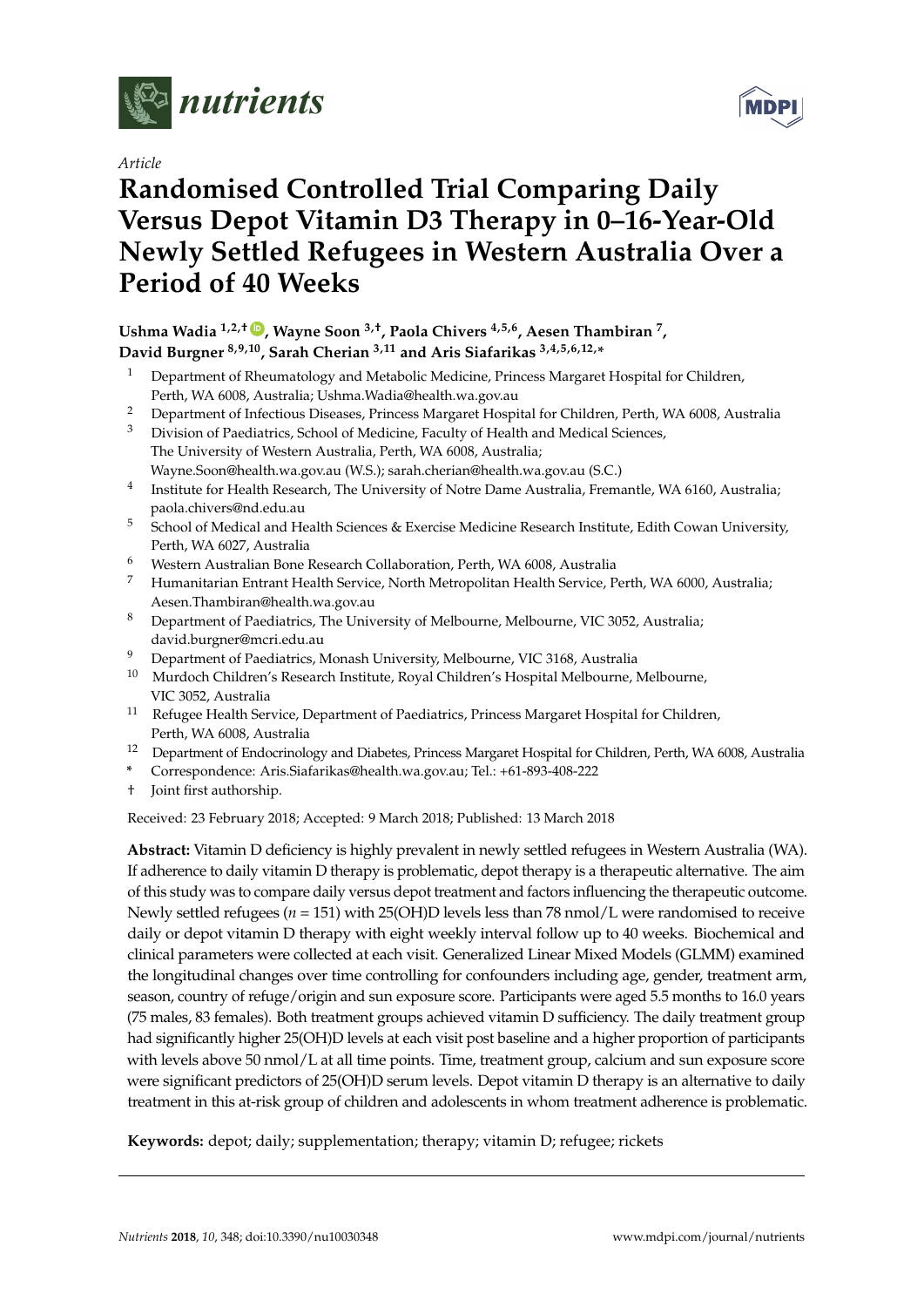

*Article*

# **Randomised Controlled Trial Comparing Daily Versus Depot Vitamin D3 Therapy in 0–16-Year-Old Newly Settled Refugees in Western Australia Over a Period of 40 Weeks**

## **Ushma Wadia 1,2,† [ID](https://orcid.org/0000-0002-8097-5072) , Wayne Soon 3,†, Paola Chivers 4,5,6, Aesen Thambiran <sup>7</sup> , David Burgner 8,9,10, Sarah Cherian 3,11 and Aris Siafarikas 3,4,5,6,12,\***

- <sup>1</sup> Department of Rheumatology and Metabolic Medicine, Princess Margaret Hospital for Children, Perth, WA 6008, Australia; Ushma.Wadia@health.wa.gov.au
- <sup>2</sup> Department of Infectious Diseases, Princess Margaret Hospital for Children, Perth, WA 6008, Australia
- <sup>3</sup> Division of Paediatrics, School of Medicine, Faculty of Health and Medical Sciences, The University of Western Australia, Perth, WA 6008, Australia; Wayne.Soon@health.wa.gov.au (W.S.); sarah.cherian@health.wa.gov.au (S.C.)
- 4 Institute for Health Research, The University of Notre Dame Australia, Fremantle, WA 6160, Australia; paola.chivers@nd.edu.au
- <sup>5</sup> School of Medical and Health Sciences & Exercise Medicine Research Institute, Edith Cowan University, Perth, WA 6027, Australia
- <sup>6</sup> Western Australian Bone Research Collaboration, Perth, WA 6008, Australia
- <sup>7</sup> Humanitarian Entrant Health Service, North Metropolitan Health Service, Perth, WA 6000, Australia; Aesen.Thambiran@health.wa.gov.au
- <sup>8</sup> Department of Paediatrics, The University of Melbourne, Melbourne, VIC 3052, Australia; david.burgner@mcri.edu.au
- <sup>9</sup> Department of Paediatrics, Monash University, Melbourne, VIC 3168, Australia
- <sup>10</sup> Murdoch Children's Research Institute, Royal Children's Hospital Melbourne, Melbourne, VIC 3052, Australia
- <sup>11</sup> Refugee Health Service, Department of Paediatrics, Princess Margaret Hospital for Children, Perth, WA 6008, Australia
- <sup>12</sup> Department of Endocrinology and Diabetes, Princess Margaret Hospital for Children, Perth, WA 6008, Australia
- **\*** Correspondence: Aris.Siafarikas@health.wa.gov.au; Tel.: +61-893-408-222
- † Joint first authorship.

Received: 23 February 2018; Accepted: 9 March 2018; Published: 13 March 2018

**Abstract:** Vitamin D deficiency is highly prevalent in newly settled refugees in Western Australia (WA). If adherence to daily vitamin D therapy is problematic, depot therapy is a therapeutic alternative. The aim of this study was to compare daily versus depot treatment and factors influencing the therapeutic outcome. Newly settled refugees (*n* = 151) with 25(OH)D levels less than 78 nmol/L were randomised to receive daily or depot vitamin D therapy with eight weekly interval follow up to 40 weeks. Biochemical and clinical parameters were collected at each visit. Generalized Linear Mixed Models (GLMM) examined the longitudinal changes over time controlling for confounders including age, gender, treatment arm, season, country of refuge/origin and sun exposure score. Participants were aged 5.5 months to 16.0 years (75 males, 83 females). Both treatment groups achieved vitamin D sufficiency. The daily treatment group had significantly higher 25(OH)D levels at each visit post baseline and a higher proportion of participants with levels above 50 nmol/L at all time points. Time, treatment group, calcium and sun exposure score were significant predictors of 25(OH)D serum levels. Depot vitamin D therapy is an alternative to daily treatment in this at-risk group of children and adolescents in whom treatment adherence is problematic.

**Keywords:** depot; daily; supplementation; therapy; vitamin D; refugee; rickets

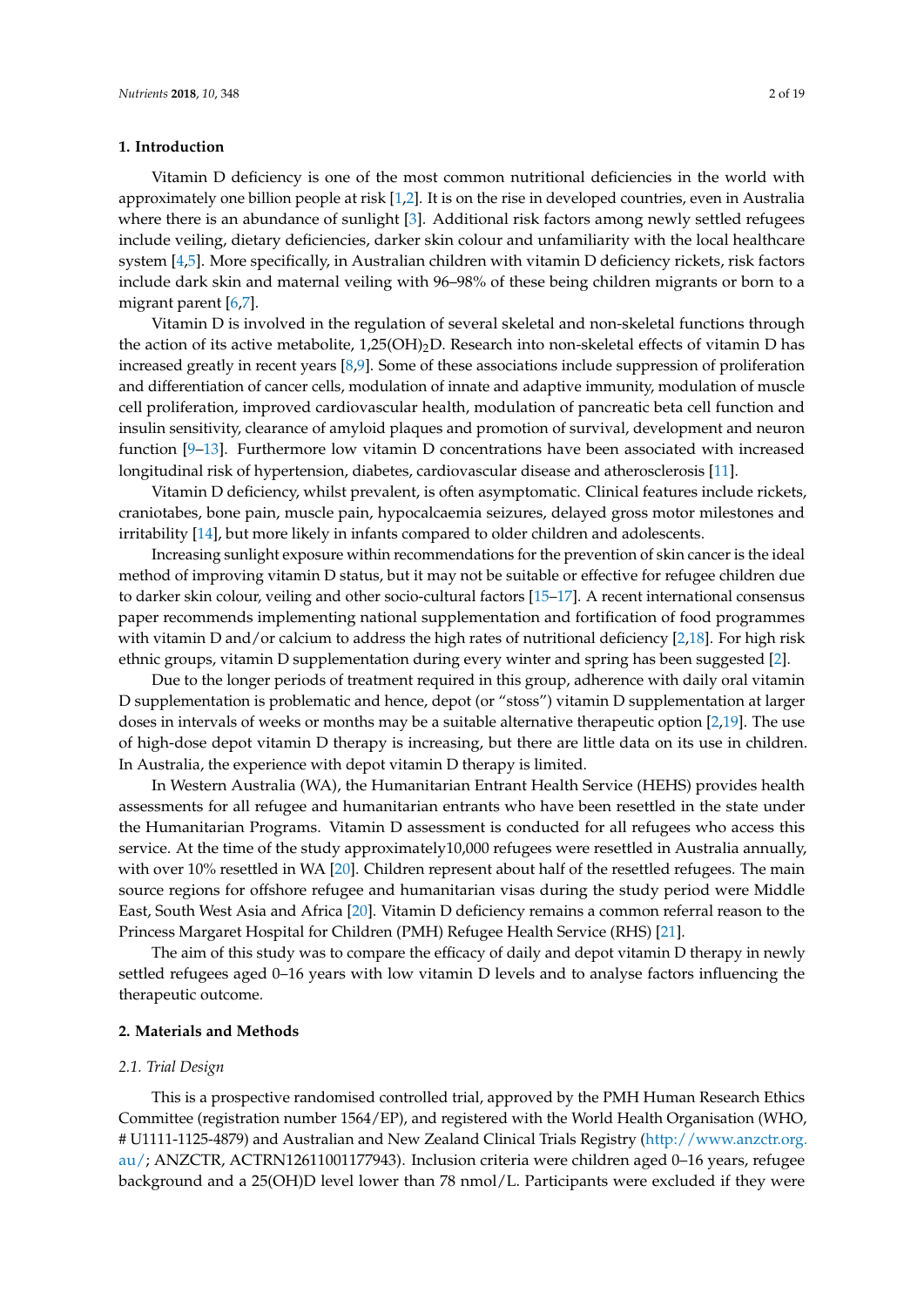#### **1. Introduction**

Vitamin D deficiency is one of the most common nutritional deficiencies in the world with approximately one billion people at risk [\[1](#page-17-0)[,2\]](#page-17-1). It is on the rise in developed countries, even in Australia where there is an abundance of sunlight [\[3\]](#page-17-2). Additional risk factors among newly settled refugees include veiling, dietary deficiencies, darker skin colour and unfamiliarity with the local healthcare system [\[4,](#page-17-3)[5\]](#page-17-4). More specifically, in Australian children with vitamin D deficiency rickets, risk factors include dark skin and maternal veiling with 96–98% of these being children migrants or born to a migrant parent [\[6,](#page-17-5)[7\]](#page-17-6).

Vitamin D is involved in the regulation of several skeletal and non-skeletal functions through the action of its active metabolite,  $1,25(OH)_2D$ . Research into non-skeletal effects of vitamin D has increased greatly in recent years [\[8](#page-17-7)[,9\]](#page-17-8). Some of these associations include suppression of proliferation and differentiation of cancer cells, modulation of innate and adaptive immunity, modulation of muscle cell proliferation, improved cardiovascular health, modulation of pancreatic beta cell function and insulin sensitivity, clearance of amyloid plaques and promotion of survival, development and neuron function [\[9](#page-17-8)[–13\]](#page-17-9). Furthermore low vitamin D concentrations have been associated with increased longitudinal risk of hypertension, diabetes, cardiovascular disease and atherosclerosis [\[11\]](#page-17-10).

Vitamin D deficiency, whilst prevalent, is often asymptomatic. Clinical features include rickets, craniotabes, bone pain, muscle pain, hypocalcaemia seizures, delayed gross motor milestones and irritability [\[14\]](#page-17-11), but more likely in infants compared to older children and adolescents.

Increasing sunlight exposure within recommendations for the prevention of skin cancer is the ideal method of improving vitamin D status, but it may not be suitable or effective for refugee children due to darker skin colour, veiling and other socio-cultural factors [\[15–](#page-17-12)[17\]](#page-17-13). A recent international consensus paper recommends implementing national supplementation and fortification of food programmes with vitamin D and/or calcium to address the high rates of nutritional deficiency [\[2,](#page-17-1)[18\]](#page-17-14). For high risk ethnic groups, vitamin D supplementation during every winter and spring has been suggested [\[2\]](#page-17-1).

Due to the longer periods of treatment required in this group, adherence with daily oral vitamin D supplementation is problematic and hence, depot (or "stoss") vitamin D supplementation at larger doses in intervals of weeks or months may be a suitable alternative therapeutic option [\[2](#page-17-1)[,19\]](#page-18-0). The use of high-dose depot vitamin D therapy is increasing, but there are little data on its use in children. In Australia, the experience with depot vitamin D therapy is limited.

In Western Australia (WA), the Humanitarian Entrant Health Service (HEHS) provides health assessments for all refugee and humanitarian entrants who have been resettled in the state under the Humanitarian Programs. Vitamin D assessment is conducted for all refugees who access this service. At the time of the study approximately10,000 refugees were resettled in Australia annually, with over 10% resettled in WA [\[20\]](#page-18-1). Children represent about half of the resettled refugees. The main source regions for offshore refugee and humanitarian visas during the study period were Middle East, South West Asia and Africa [\[20\]](#page-18-1). Vitamin D deficiency remains a common referral reason to the Princess Margaret Hospital for Children (PMH) Refugee Health Service (RHS) [\[21\]](#page-18-2).

The aim of this study was to compare the efficacy of daily and depot vitamin D therapy in newly settled refugees aged 0–16 years with low vitamin D levels and to analyse factors influencing the therapeutic outcome.

#### **2. Materials and Methods**

#### *2.1. Trial Design*

This is a prospective randomised controlled trial, approved by the PMH Human Research Ethics Committee (registration number 1564/EP), and registered with the World Health Organisation (WHO, # U1111-1125-4879) and Australian and New Zealand Clinical Trials Registry [\(http://www.anzctr.org.](http://www.anzctr.org.au/) [au/;](http://www.anzctr.org.au/) ANZCTR, ACTRN12611001177943). Inclusion criteria were children aged 0–16 years, refugee background and a 25(OH)D level lower than 78 nmol/L. Participants were excluded if they were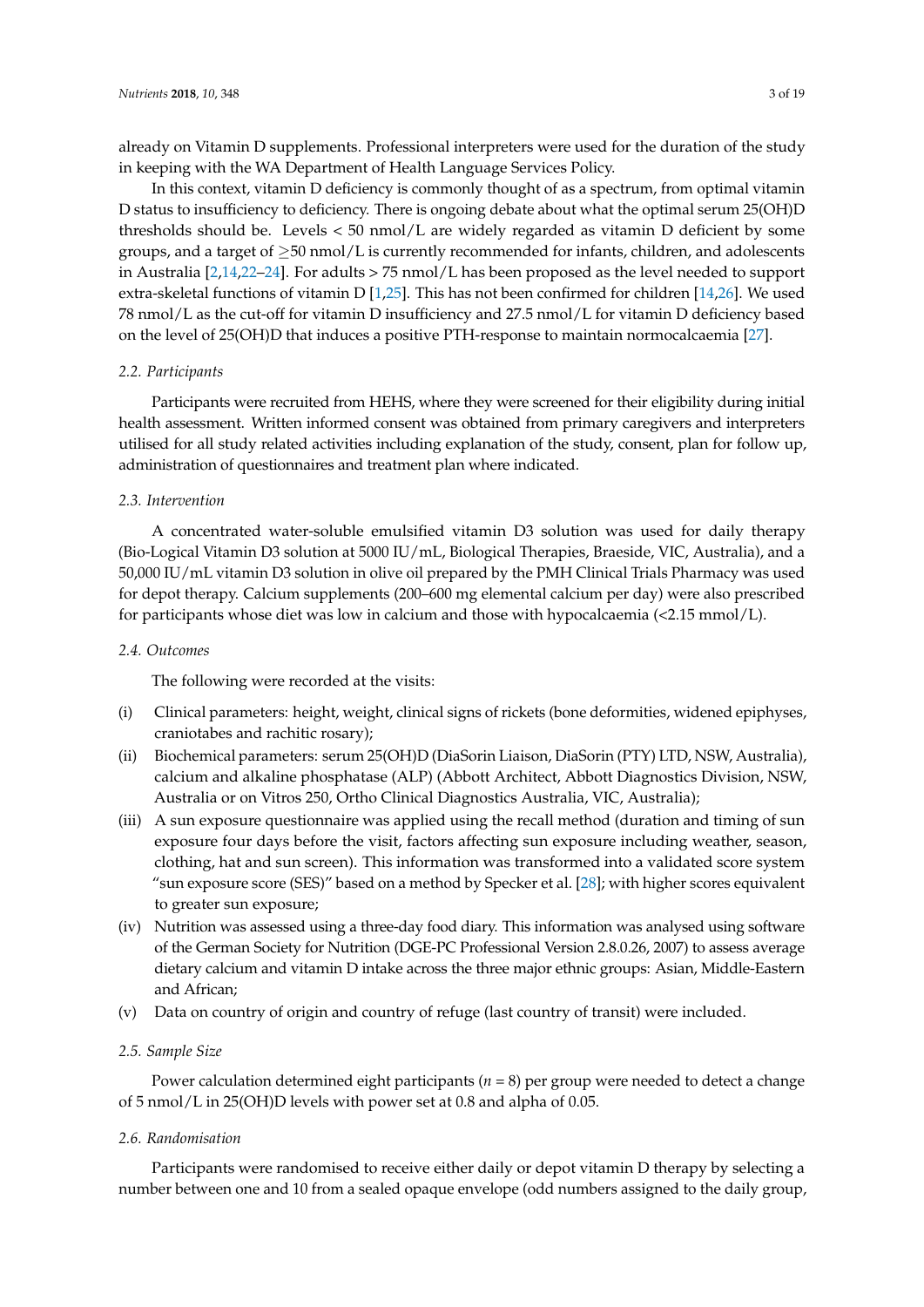already on Vitamin D supplements. Professional interpreters were used for the duration of the study in keeping with the WA Department of Health Language Services Policy.

In this context, vitamin D deficiency is commonly thought of as a spectrum, from optimal vitamin D status to insufficiency to deficiency. There is ongoing debate about what the optimal serum 25(OH)D thresholds should be. Levels < 50 nmol/L are widely regarded as vitamin D deficient by some groups, and a target of  $\geq$ 50 nmol/L is currently recommended for infants, children, and adolescents in Australia [\[2,](#page-17-1)[14,](#page-17-11)[22–](#page-18-3)[24\]](#page-18-4). For adults > 75 nmol/L has been proposed as the level needed to support extra-skeletal functions of vitamin D [\[1](#page-17-0)[,25\]](#page-18-5). This has not been confirmed for children [\[14](#page-17-11)[,26\]](#page-18-6). We used 78 nmol/L as the cut-off for vitamin D insufficiency and 27.5 nmol/L for vitamin D deficiency based on the level of 25(OH)D that induces a positive PTH-response to maintain normocalcaemia [\[27\]](#page-18-7).

#### *2.2. Participants*

Participants were recruited from HEHS, where they were screened for their eligibility during initial health assessment. Written informed consent was obtained from primary caregivers and interpreters utilised for all study related activities including explanation of the study, consent, plan for follow up, administration of questionnaires and treatment plan where indicated.

#### *2.3. Intervention*

A concentrated water-soluble emulsified vitamin D3 solution was used for daily therapy (Bio-Logical Vitamin D3 solution at 5000 IU/mL, Biological Therapies, Braeside, VIC, Australia), and a 50,000 IU/mL vitamin D3 solution in olive oil prepared by the PMH Clinical Trials Pharmacy was used for depot therapy. Calcium supplements (200–600 mg elemental calcium per day) were also prescribed for participants whose diet was low in calcium and those with hypocalcaemia (<2.15 mmol/L).

#### *2.4. Outcomes*

The following were recorded at the visits:

- (i) Clinical parameters: height, weight, clinical signs of rickets (bone deformities, widened epiphyses, craniotabes and rachitic rosary);
- (ii) Biochemical parameters: serum 25(OH)D (DiaSorin Liaison, DiaSorin (PTY) LTD, NSW, Australia), calcium and alkaline phosphatase (ALP) (Abbott Architect, Abbott Diagnostics Division, NSW, Australia or on Vitros 250, Ortho Clinical Diagnostics Australia, VIC, Australia);
- (iii) A sun exposure questionnaire was applied using the recall method (duration and timing of sun exposure four days before the visit, factors affecting sun exposure including weather, season, clothing, hat and sun screen). This information was transformed into a validated score system "sun exposure score (SES)" based on a method by Specker et al. [\[28\]](#page-18-8); with higher scores equivalent to greater sun exposure;
- (iv) Nutrition was assessed using a three-day food diary. This information was analysed using software of the German Society for Nutrition (DGE-PC Professional Version 2.8.0.26, 2007) to assess average dietary calcium and vitamin D intake across the three major ethnic groups: Asian, Middle-Eastern and African;
- (v) Data on country of origin and country of refuge (last country of transit) were included.

#### *2.5. Sample Size*

Power calculation determined eight participants (*n* = 8) per group were needed to detect a change of 5 nmol/L in 25(OH)D levels with power set at 0.8 and alpha of 0.05.

#### *2.6. Randomisation*

Participants were randomised to receive either daily or depot vitamin D therapy by selecting a number between one and 10 from a sealed opaque envelope (odd numbers assigned to the daily group,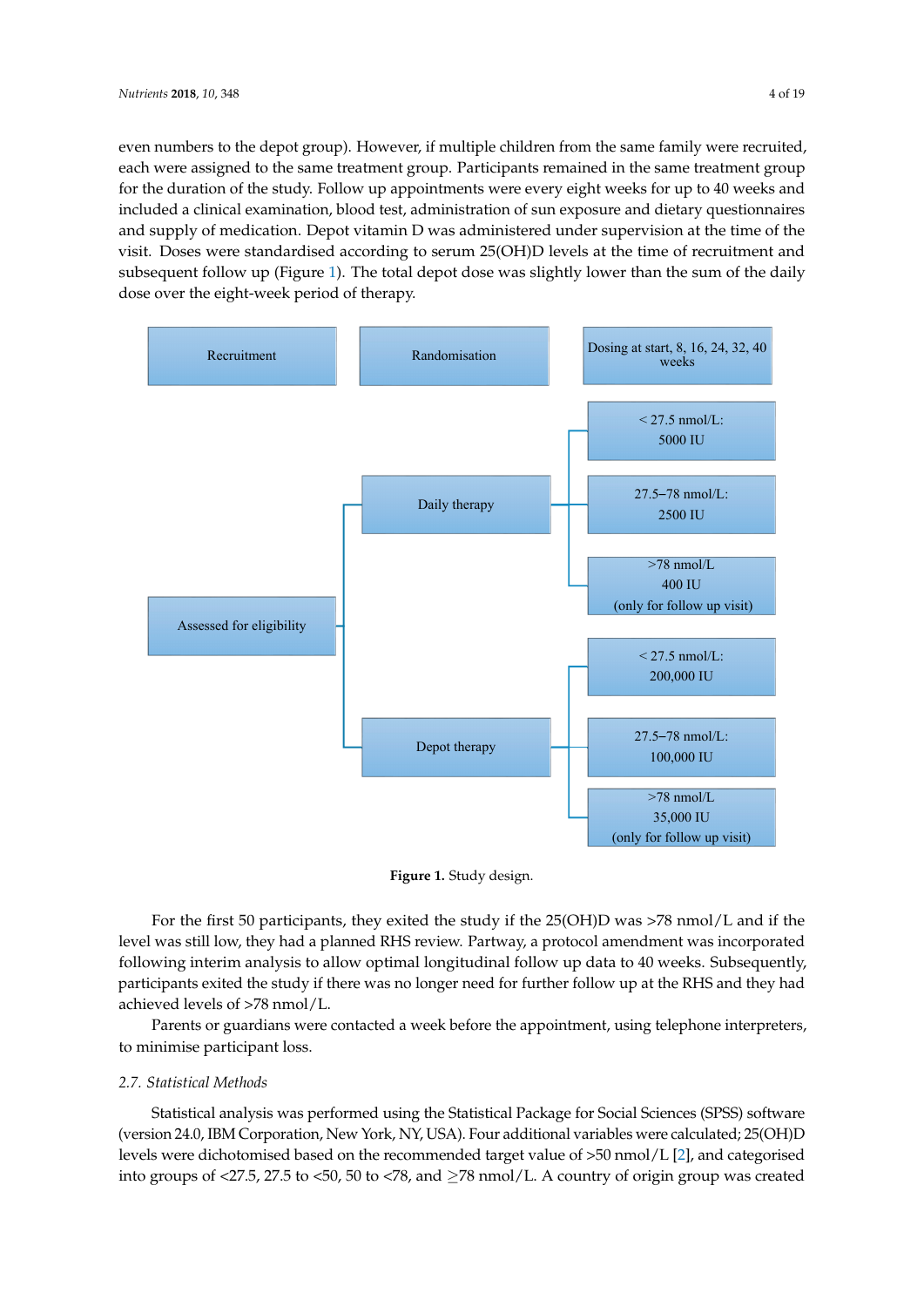even numbers to the depot group). However, if multiple children from the same family were recruited, each were assigned to the same treatment group. Participants remained in the same treatment group for the duration of the study. Follow up appointments were every eight weeks for up to 40 weeks and included a clinical examination, blood test, administration of sun exposure and dietary questionnaires and supply of medication. Depot vitamin D was administered under supervision at the time of the visit. Doses were standardised according to serum 25(OH)D levels at the time of recruitment and s[ubs](#page-6-0)equent follow up (Figure 1). The total depot dose was slightly lower than the sum of the daily dose over the eight-week period of therapy.

<span id="page-6-0"></span>

**Figure 1.** Study design. **Figure 1.** Study design.

For the first 50 participants, they exited the study if the 25(OH)D was >78 nmol/L and if the was still low, they had a planned RHS review. Partway, a protocol amendment was incorporated level was still low, they had a planned RHS review. Partway, a protocol amendment was incorporated following interim analysis to allow optimal longitudinal follow up data to 40 weeks. Subsequently, following interim analysis to allow optimal longitudinal follow up data to 40 weeks. Subsequently, participants exited the study if there was no longer need for further follow up at the RHS and they participants exited the study if there was no longer need for further follow up at the RHS and they had achieved levels of  $>78$  nmol/L.

Parents or guardians were contacted a week before the appointment, using telephone Parents or guardians were contacted a week before the appointment, using telephone interpreters, to minimise participant loss.

## *2.7. Statistical Methods 2.7. Statistical Methods*

Statistical analysis was performed using the Statistical Package for Social Sciences (SPSS) Statistical analysis was performed using the Statistical Package for Social Sciences (SPSS) software (version 24.0, IBM Corporation, New York, NY, USA). Four additional variables were calculated; 25(OH)D levels were dichotomised based on the recommended target value of >50 nmol/L [\[2\]](#page-17-1), and categorised into groups of <27.5, 27.5 to <50, 50 to <78, and ≥78 nmol/L. A country of origin group was created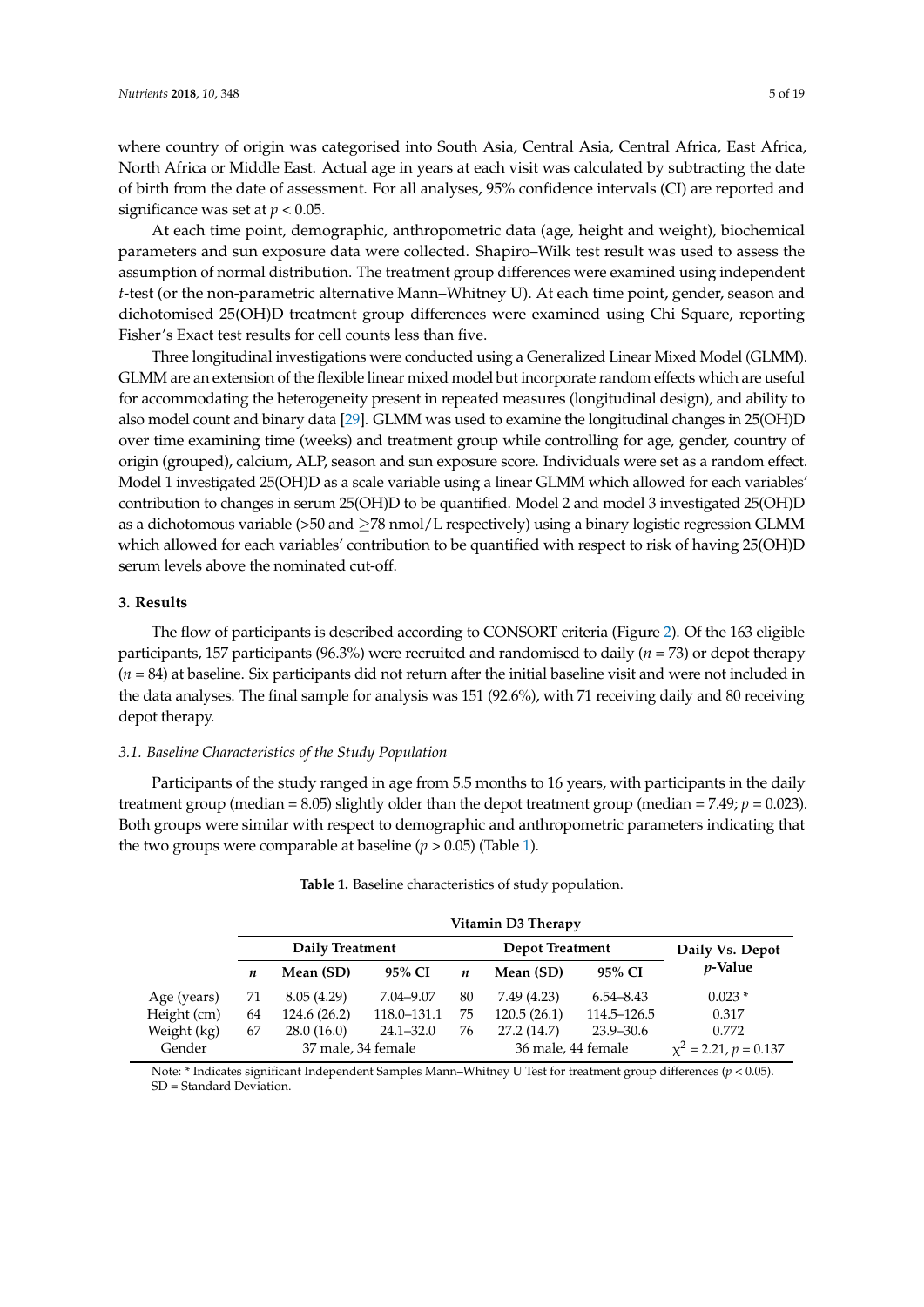where country of origin was categorised into South Asia, Central Asia, Central Africa, East Africa, North Africa or Middle East. Actual age in years at each visit was calculated by subtracting the date of birth from the date of assessment. For all analyses, 95% confidence intervals (CI) are reported and significance was set at  $p < 0.05$ .

At each time point, demographic, anthropometric data (age, height and weight), biochemical parameters and sun exposure data were collected. Shapiro–Wilk test result was used to assess the assumption of normal distribution. The treatment group differences were examined using independent *t*-test (or the non-parametric alternative Mann–Whitney U). At each time point, gender, season and dichotomised 25(OH)D treatment group differences were examined using Chi Square, reporting Fisher's Exact test results for cell counts less than five.

Three longitudinal investigations were conducted using a Generalized Linear Mixed Model (GLMM). GLMM are an extension of the flexible linear mixed model but incorporate random effects which are useful for accommodating the heterogeneity present in repeated measures (longitudinal design), and ability to also model count and binary data [\[29\]](#page-18-9). GLMM was used to examine the longitudinal changes in 25(OH)D over time examining time (weeks) and treatment group while controlling for age, gender, country of origin (grouped), calcium, ALP, season and sun exposure score. Individuals were set as a random effect. Model 1 investigated 25(OH)D as a scale variable using a linear GLMM which allowed for each variables' contribution to changes in serum 25(OH)D to be quantified. Model 2 and model 3 investigated 25(OH)D as a dichotomous variable  $(>50 \text{ and } \geq 78 \text{ nmol/L respectively})$  using a binary logistic regression GLMM which allowed for each variables' contribution to be quantified with respect to risk of having 25(OH)D serum levels above the nominated cut-off.

#### **3. Results**

The flow of participants is described according to CONSORT criteria (Figure [2\)](#page-8-0). Of the 163 eligible participants, 157 participants (96.3%) were recruited and randomised to daily (*n* = 73) or depot therapy (*n* = 84) at baseline. Six participants did not return after the initial baseline visit and were not included in the data analyses. The final sample for analysis was 151 (92.6%), with 71 receiving daily and 80 receiving depot therapy.

#### *3.1. Baseline Characteristics of the Study Population*

Participants of the study ranged in age from 5.5 months to 16 years, with participants in the daily treatment group (median = 8.05) slightly older than the depot treatment group (median = 7.49;  $p = 0.023$ ). Both groups were similar with respect to demographic and anthropometric parameters indicating that the two groups were comparable at baseline  $(p > 0.05)$  (Table [1\)](#page-7-0).

<span id="page-7-0"></span>

| Vitamin D3 Therapy |                    |                 |               |                    |                        |                            |                 |  |  |
|--------------------|--------------------|-----------------|---------------|--------------------|------------------------|----------------------------|-----------------|--|--|
|                    |                    | Daily Treatment |               |                    | <b>Depot Treatment</b> |                            | Daily Vs. Depot |  |  |
|                    | n                  | Mean (SD)       | 95% CI        | n                  | Mean (SD)              | 95% CI                     | <i>v</i> -Value |  |  |
| Age (years)        | 71                 | 8.05(4.29)      | 7.04–9.07     | 80                 | 7.49 (4.23)            | $6.54 - 8.43$              | $0.023*$        |  |  |
| Height (cm)        | 64                 | 124.6 (26.2)    | 118.0-131.1   | 75                 | 120.5(26.1)            | 114.5–126.5                | 0.317           |  |  |
| Weight (kg)        | 67                 | 28.0(16.0)      | $24.1 - 32.0$ | 76                 | 27.2 (14.7)            | $23.9 - 30.6$              | 0.772           |  |  |
| Gender             | 37 male, 34 female |                 |               | 36 male, 44 female |                        | $\chi^2$ = 2.21, p = 0.137 |                 |  |  |

| Table 1. Baseline characteristics of study population. |  |  |
|--------------------------------------------------------|--|--|
|--------------------------------------------------------|--|--|

Note: \* Indicates significant Independent Samples Mann–Whitney U Test for treatment group differences (*p* < 0.05). SD = Standard Deviation.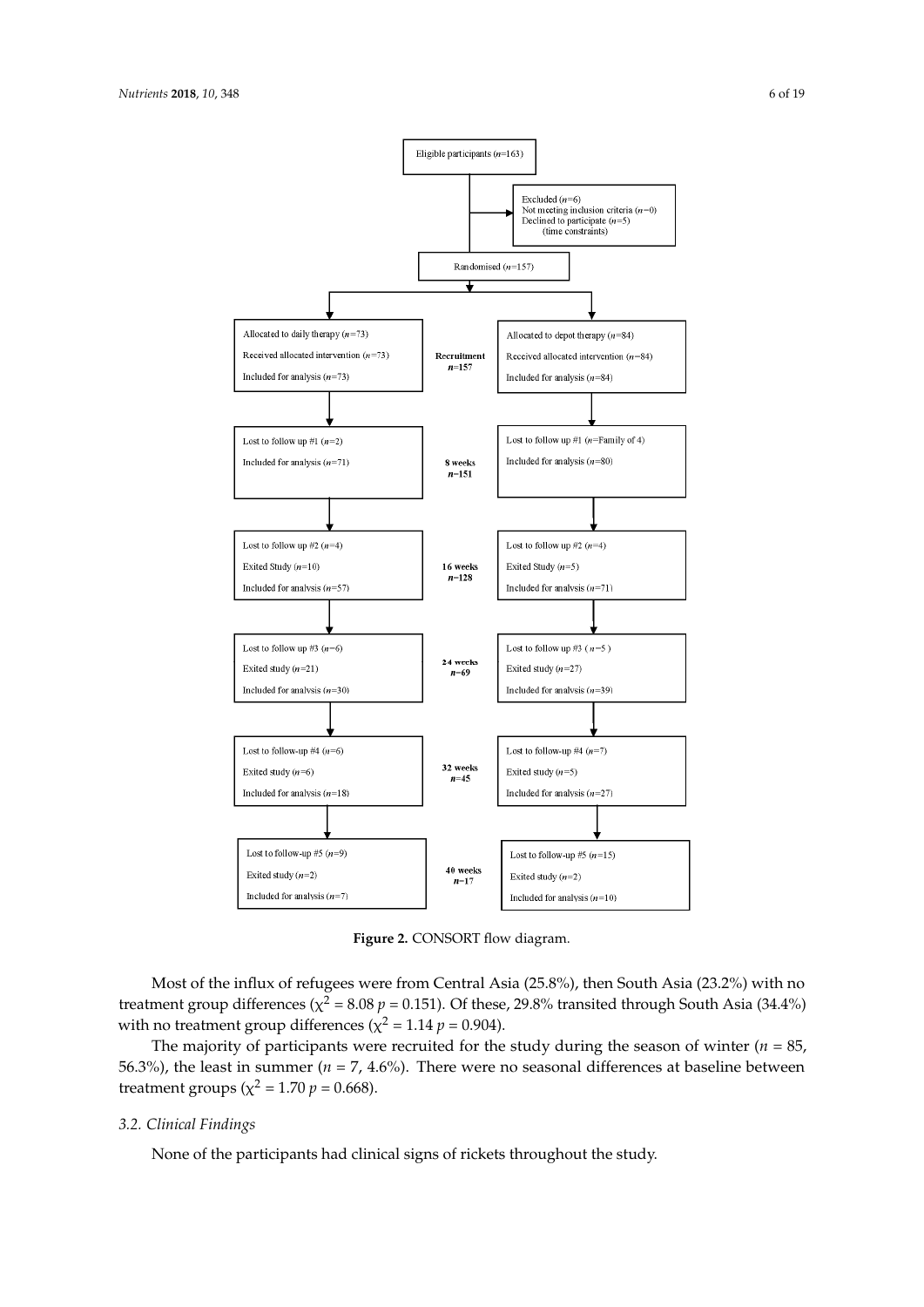<span id="page-8-0"></span>

**Figure 2.** CONSORT flow diagram.

treatment group differences ( $\chi^2$  = 8.08 *p* = 0.151). Of these, 29.8% transited through South Asia (34.4%) with no treatment group differences ( $\chi^2 = 1.14 \, p = 0.904$ ). Most of the influx of refugees were from Central Asia (25.8%), then South Asia (23.2%) with no

The majority of participants were recruited for the study during the season of winter ( $n = 85$ , 56.3%), the least in summer ( $n = 7, 4.6$ %). There were no seasonal differences at baseline between  $\frac{1}{2}$  the least in summer ( $\frac{1}{2}$  = 1.70 m = 0.668). treatment groups ( $\chi^2 = 1.70 p = 0.668$ ).

#### *3.2. Clinical Findings*

*3.2. Clinical Findings*  None of the participants had clinical signs of rickets throughout the study.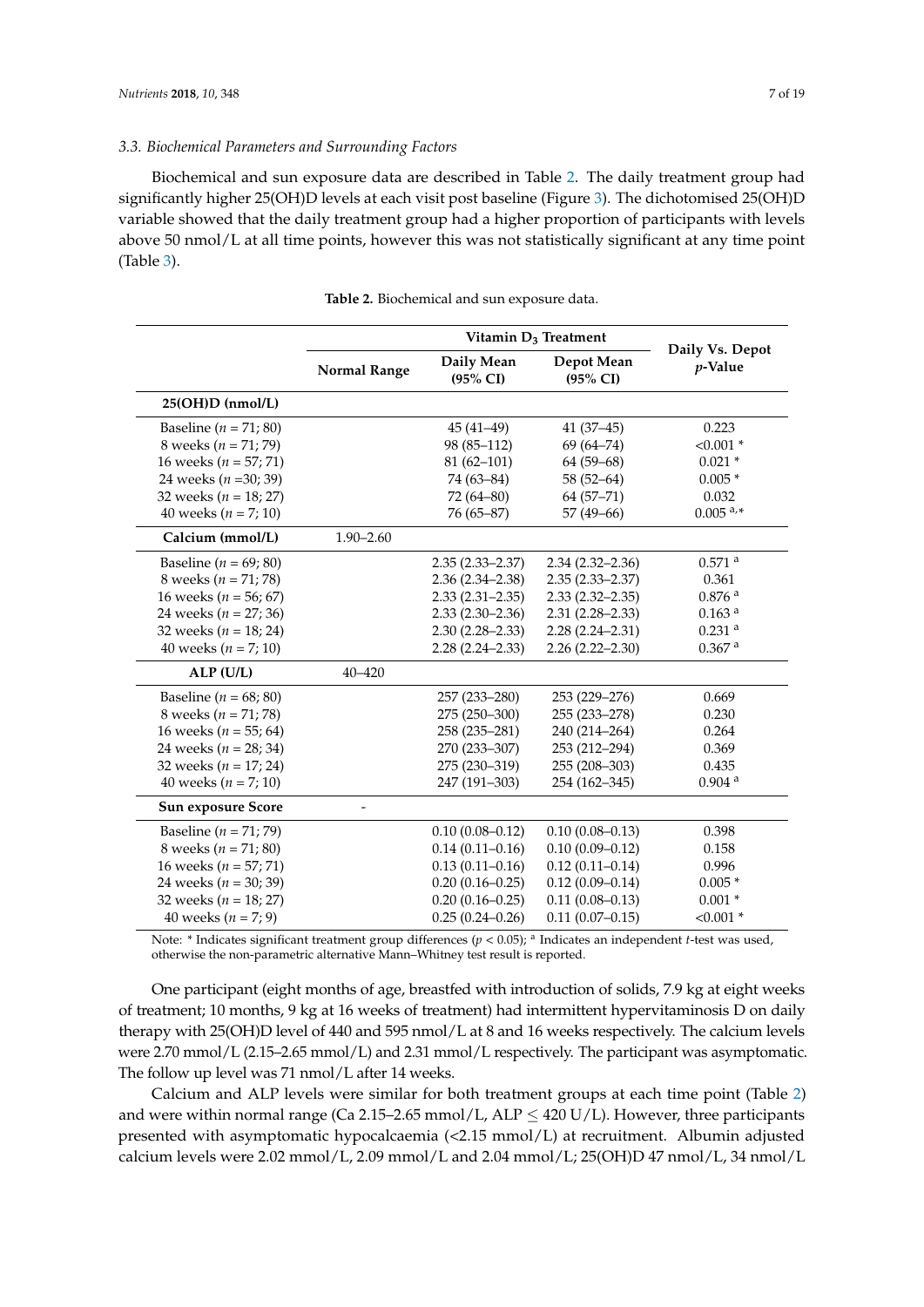#### *3.3. Biochemical Parameters and Surrounding Factors*

Biochemical and sun exposure data are described in Table [2.](#page-9-0) The daily treatment group had significantly higher 25(OH)D levels at each visit post baseline (Figure [3\)](#page-10-0). The dichotomised 25(OH)D variable showed that the daily treatment group had a higher proportion of participants with levels above 50 nmol/L at all time points, however this was not statistically significant at any time point (Table [3\)](#page-10-1).

<span id="page-9-0"></span>

|                           |                     | Vitamin D <sub>3</sub> Treatment |                                   |                               |  |  |  |
|---------------------------|---------------------|----------------------------------|-----------------------------------|-------------------------------|--|--|--|
|                           | <b>Normal Range</b> | Daily Mean<br>(95% CI)           | Depot Mean<br>$(95\% \text{ CI})$ | Daily Vs. Depot<br>$p$ -Value |  |  |  |
| 25(OH)D (nmol/L)          |                     |                                  |                                   |                               |  |  |  |
| Baseline ( $n = 71; 80$ ) |                     | $45(41-49)$                      | $41(37-45)$                       | 0.223                         |  |  |  |
| 8 weeks ( $n = 71; 79$ )  |                     | 98 (85-112)                      | $69(64 - 74)$                     | $< 0.001$ *                   |  |  |  |
| 16 weeks ( $n = 57; 71$ ) |                     | $81(62 - 101)$                   | $64(59-68)$                       | $0.021*$                      |  |  |  |
| 24 weeks ( $n = 30$ ; 39) |                     | 74 (63-84)                       | $58(52 - 64)$                     | $0.005*$                      |  |  |  |
| 32 weeks ( $n = 18$ ; 27) |                     | $72(64 - 80)$                    | $64(57-71)$                       | 0.032                         |  |  |  |
| 40 weeks ( $n = 7$ ; 10)  |                     | 76 (65-87)                       | 57 (49-66)                        | $0.005$ <sup>a,*</sup>        |  |  |  |
| Calcium (mmol/L)          | $1.90 - 2.60$       |                                  |                                   |                               |  |  |  |
| Baseline ( $n = 69$ ; 80) |                     | $2.35(2.33 - 2.37)$              | $2.34(2.32 - 2.36)$               | $0.571$ <sup>a</sup>          |  |  |  |
| 8 weeks ( $n = 71$ ; 78)  |                     | $2.36(2.34 - 2.38)$              | $2.35(2.33 - 2.37)$               | 0.361                         |  |  |  |
| 16 weeks ( $n = 56$ ; 67) |                     | $2.33(2.31-2.35)$                | $2.33(2.32 - 2.35)$               | 0.876 <sup>a</sup>            |  |  |  |
| 24 weeks ( $n = 27; 36$ ) |                     | $2.33(2.30-2.36)$                | $2.31(2.28 - 2.33)$               | $0.163$ <sup>a</sup>          |  |  |  |
| 32 weeks ( $n = 18$ ; 24) |                     | $2.30(2.28 - 2.33)$              | $2.28(2.24 - 2.31)$               | $0.231$ <sup>a</sup>          |  |  |  |
| 40 weeks ( $n = 7$ ; 10)  |                     | $2.28(2.24 - 2.33)$              | $2.26(2.22 - 2.30)$               | $0.367$ <sup>a</sup>          |  |  |  |
| ALP (U/L)                 | $40 - 420$          |                                  |                                   |                               |  |  |  |
| Baseline ( $n = 68$ ; 80) |                     | 257 (233-280)                    | 253 (229-276)                     | 0.669                         |  |  |  |
| 8 weeks ( $n = 71$ ; 78)  |                     | 275 (250-300)                    | 255 (233-278)                     | 0.230                         |  |  |  |
| 16 weeks ( $n = 55$ ; 64) |                     | 258 (235-281)                    | 240 (214-264)                     | 0.264                         |  |  |  |
| 24 weeks ( $n = 28$ ; 34) |                     | 270 (233-307)                    | 253 (212-294)                     | 0.369                         |  |  |  |
| 32 weeks ( $n = 17; 24$ ) |                     | 275 (230-319)                    | 255 (208-303)                     | 0.435                         |  |  |  |
| 40 weeks ( $n = 7$ ; 10)  |                     | 247 (191-303)                    | 254 (162-345)                     | $0.904$ <sup>a</sup>          |  |  |  |
| <b>Sun exposure Score</b> | $\overline{a}$      |                                  |                                   |                               |  |  |  |
| Baseline ( $n = 71$ ; 79) |                     | $0.10(0.08 - 0.12)$              | $0.10(0.08 - 0.13)$               | 0.398                         |  |  |  |
| 8 weeks ( $n = 71;80$ )   |                     | $0.14(0.11 - 0.16)$              | $0.10(0.09 - 0.12)$               | 0.158                         |  |  |  |
| 16 weeks ( $n = 57; 71$ ) |                     | $0.13(0.11 - 0.16)$              | $0.12(0.11 - 0.14)$               | 0.996                         |  |  |  |
| 24 weeks ( $n = 30$ ; 39) |                     | $0.20(0.16 - 0.25)$              | $0.12(0.09 - 0.14)$               | $0.005*$                      |  |  |  |
| 32 weeks ( $n = 18$ ; 27) |                     | $0.20(0.16 - 0.25)$              | $0.11(0.08 - 0.13)$               | $0.001*$                      |  |  |  |
| 40 weeks ( $n = 7; 9$ )   |                     | $0.25(0.24 - 0.26)$              | $0.11(0.07 - 0.15)$               | $< 0.001$ *                   |  |  |  |

**Table 2.** Biochemical and sun exposure data.

Note: \* Indicates significant treatment group differences (*p* < 0.05); <sup>a</sup> Indicates an independent *t*-test was used, otherwise the non-parametric alternative Mann–Whitney test result is reported.

One participant (eight months of age, breastfed with introduction of solids, 7.9 kg at eight weeks of treatment; 10 months, 9 kg at 16 weeks of treatment) had intermittent hypervitaminosis D on daily therapy with 25(OH)D level of 440 and 595 nmol/L at 8 and 16 weeks respectively. The calcium levels were 2.70 mmol/L (2.15–2.65 mmol/L) and 2.31 mmol/L respectively. The participant was asymptomatic. The follow up level was 71 nmol/L after 14 weeks.

Calcium and ALP levels were similar for both treatment groups at each time point (Table [2\)](#page-9-0) and were within normal range (Ca 2.15–2.65 mmol/L, ALP  $\leq$  420 U/L). However, three participants presented with asymptomatic hypocalcaemia (<2.15 mmol/L) at recruitment. Albumin adjusted calcium levels were 2.02 mmol/L, 2.09 mmol/L and 2.04 mmol/L; 25(OH)D 47 nmol/L, 34 nmol/L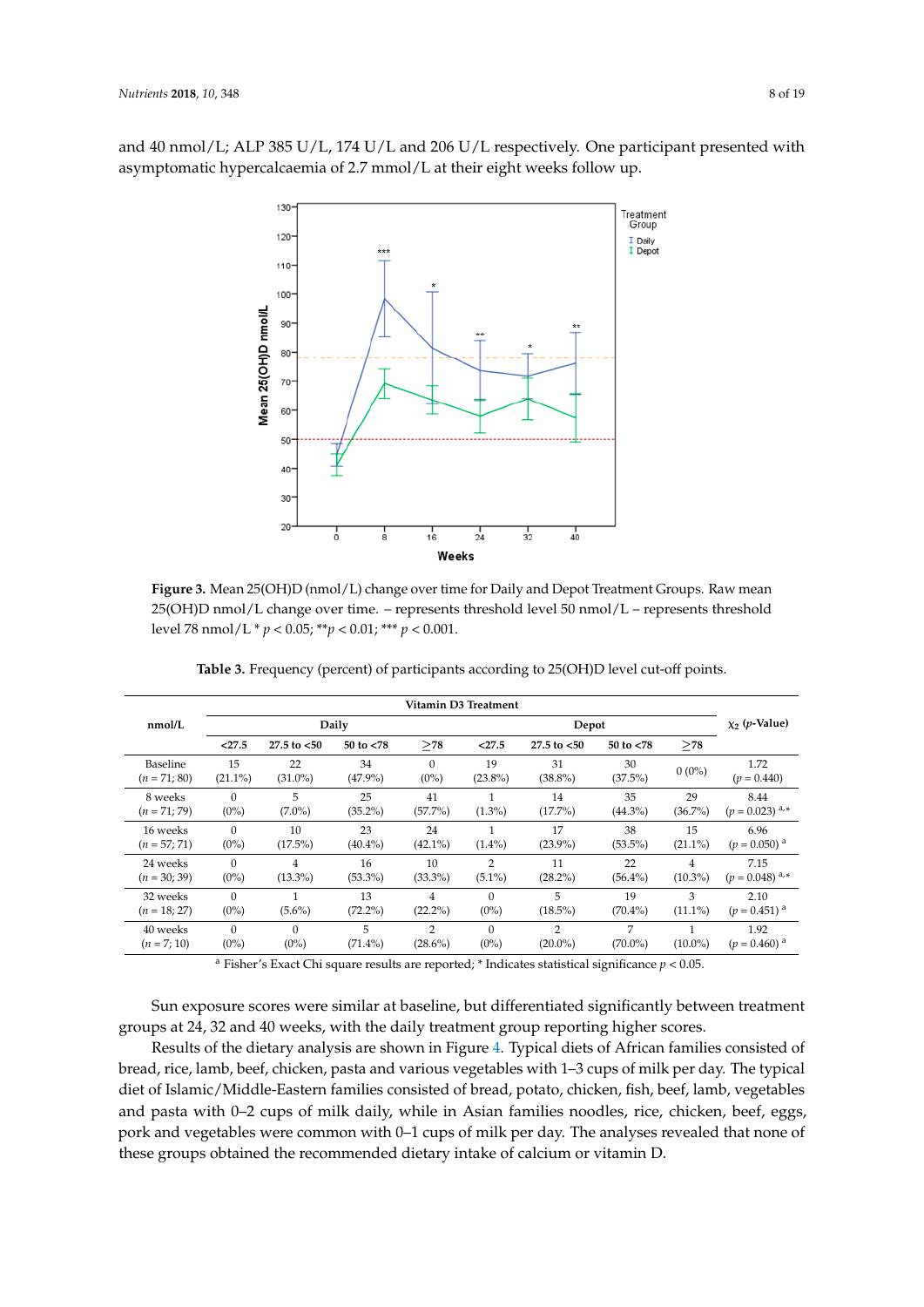<span id="page-10-0"></span>and 40 nmol/L; ALP 385 U/L, 174 U/L and 206 U/L respectively. One participant presented with asymptomatic hypercalcaemia of 2.7 mmol/L at their eight weeks follow up.



**Figure 3.** Mean 25(OH)D (nmol/L) change over time for Daily and Depot Treatment Groups. Raw **Figure 3.** Mean 25(OH)D (nmol/L) change over time for Daily and Depot Treatment Groups. Raw mean 25(OH)D nmol/L change over time. - represents threshold level 50 nmol/L - represents threshold threshold level 78 nmol/L \* *p* < 0.05; \*\**p* < 0.01; \*\*\* *p* < 0.001. level 78 nmol/L \* *p* < 0.05; \*\**p* < 0.01; \*\*\* *p* < 0.001.

<span id="page-10-1"></span>

|                |            |                |              |            | Vitamin D3 Treatment |                  |              |            |                            |  |  |
|----------------|------------|----------------|--------------|------------|----------------------|------------------|--------------|------------|----------------------------|--|--|
| nmol/L         |            |                | Daily        |            |                      | Depot            |              |            |                            |  |  |
|                | < 27.5     | 27.5 to $< 50$ | 50 to $< 78$ | >78        | < 27.5               | $27.5$ to $< 50$ | 50 to $< 78$ | >78        |                            |  |  |
| Baseline       | 15         | 22             | 34           | $\Omega$   | 19                   | 31               | 30           | $0(0\%)$   | 1.72                       |  |  |
| $(n = 71; 80)$ | $(21.1\%)$ | $(31.0\%)$     | $(47.9\%)$   | $(0\%)$    | $(23.8\%)$           | $(38.8\%)$       | $(37.5\%)$   |            | $(p = 0.440)$              |  |  |
| 8 weeks        | $\Omega$   | 5              | 25           | 41         | $\mathbf{1}$         | 14               | 35           | 29         | 8.44                       |  |  |
| $(n = 71; 79)$ | $(0\%)$    | $(7.0\%)$      | $(35.2\%)$   | $(57.7\%)$ | $(1.3\%)$            | $(17.7\%)$       | $(44.3\%)$   | $(36.7\%)$ | $(p = 0.023)^{a,*}$        |  |  |
| 16 weeks       | $\Omega$   | 10             | 23           | 24         | 1                    | 17               | 38           | 15         | 6.96                       |  |  |
| $(n = 57; 71)$ | $(0\%)$    | $(17.5\%)$     | $(40.4\%)$   | $(42.1\%)$ | $(1.4\%)$            | $(23.9\%)$       | $(53.5\%)$   | $(21.1\%)$ | $(p = 0.050)$ <sup>a</sup> |  |  |
| 24 weeks       | $\Omega$   | 4              | 16           | 10         | 2                    | 11               | 22           | 4          | 7.15                       |  |  |
| $(n = 30; 39)$ | $(0\%)$    | $(13.3\%)$     | $(53.3\%)$   | $(33.3\%)$ | $(5.1\%)$            | $(28.2\%)$       | $(56.4\%)$   | $(10.3\%)$ | $(p = 0.048)^{a,*}$        |  |  |
| 32 weeks       | $\Omega$   | $(5.6\%)$      | 13           | 4          | $\Omega$             | 5                | 19           | 3          | 2.10                       |  |  |
| $(n = 18; 27)$ | $(0\%)$    |                | $(72.2\%)$   | $(22.2\%)$ | $(0\%)$              | $(18.5\%)$       | $(70.4\%)$   | $(11.1\%)$ | $(p = 0.451)$ <sup>a</sup> |  |  |
| 40 weeks       | $\Omega$   | $\Omega$       | 5            | 2          | $\Omega$             | 2                | 7            | $(10.0\%)$ | 1.92                       |  |  |
| $(n = 7; 10)$  | $(0\%)$    | $(0\%)$        | $(71.4\%)$   | $(28.6\%)$ | $(0\%)$              | $(20.0\%)$       | $(70.0\%)$   |            | $(p = 0.460)$ <sup>a</sup> |  |  |

Table 3. Frequency (percent) of participants according to 25(OH)D level cut-off points.

<sup>a</sup> Fisher's Exact Chi square results are reported; \* Indicates statistical significance  $p < 0.05$ .

16 weeks (*n* = 56; 67) 2.33 (2.31–2.35) 2.33 (2.32–2.35) 0.876 a Sun exposure scores were similar at baseline, but differentiated significantly between treatment groups at 24, 32 and 40 weeks, with the daily treatment group reporting higher scores.

Results of the dietary analysis are shown in Figure [4.](#page-11-0) Typical diets of African families consisted of **ALP (U/L)** 40–420 bread, rice, lamb, beef, chicken, pasta and various vegetables with 1–3 cups of milk per day. The typical Baseline (*n* = 68; 80) 257 (233–280) 253 (229–276) 0.669 diet of Islamic/Middle-Eastern families consisted of bread, potato, chicken, fish, beef, lamb, vegetables and pasta with 0–2 cups of milk daily, while in Asian families noodles, rice, chicken, beef, eggs, pork and vegetables were common with 0–1 cups of milk per day. The analyses revealed that none of<br>. these groups obtained the recommended dietary intake of calcium or vitamin D.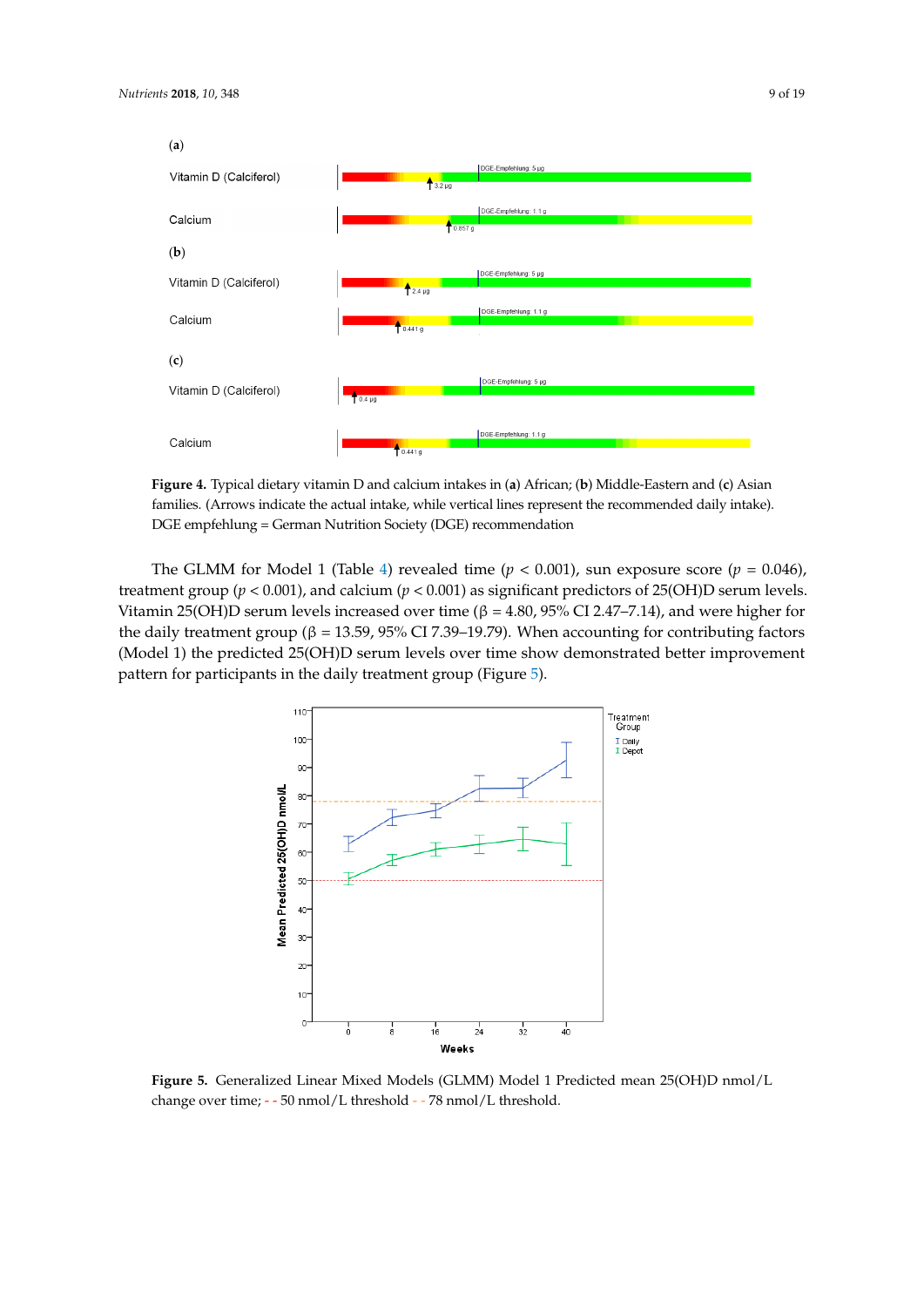

#### <span id="page-11-0"></span>(**a**)



Figure 4. Typical dietary vitamin D and calcium intakes in (a) African; (b) Middle-Eastern and (c) Asian families. (Arrows indicate the actual intake, while vertical lines represent the recommended daily intake). DGE empfehlung = German Nutrition Society (DGE) recommendation

The GLMM for Model 1 (Table [4\)](#page-12-0) revealed time ( $p < 0.001$ ), sun exposure score ( $p = 0.046$ ), treatment group ( $p < 0.001$ ), and calcium ( $p < 0.001$ ) as significant predictors of 25(OH)D serum levels. Vitamin 25(OH)D serum levels increased over time ( $\beta = 4.80$ , 95% CI 2.47-7.14), and were higher for eggs, port and vegetables were common with  $\alpha$ –1 cups of milk per day. The analyses revealed that  $\alpha$ the daily treatment group ( $\beta$  = 13.59, 95% CI 7.39–19.79). When accounting for contributing factors (Model 1) the predicted 25(OH)D serum levels over time show demonstrated better improvement pattern for participants in the daily treatme[nt](#page-11-1) group (Figure 5).  $\gamma$   $\gamma$   $\sim$  0.001), and calcular  $\gamma$   $\sim$  0.001) as significant predictors of  $\omega$ ( $\sigma$ 11)D set  $C(0,1)$  because  $C(0,1)$  because  $C(0,1)$ 

<span id="page-11-1"></span>

**Figure 5.** Generalized Linear Mixed Models (GLMM) Model 1 Predicted mean 25(OH)D nmol/L **Figure 5.** Generalized Linear Mixed Models (GLMM) Model 1 Predicted mean 25(OH)D nmol/L change over time; -- 50 nmol/L threshold --. 78 nmol/L threshold. change over time; - - 50 nmol/L threshold - - 78 nmol/L threshold.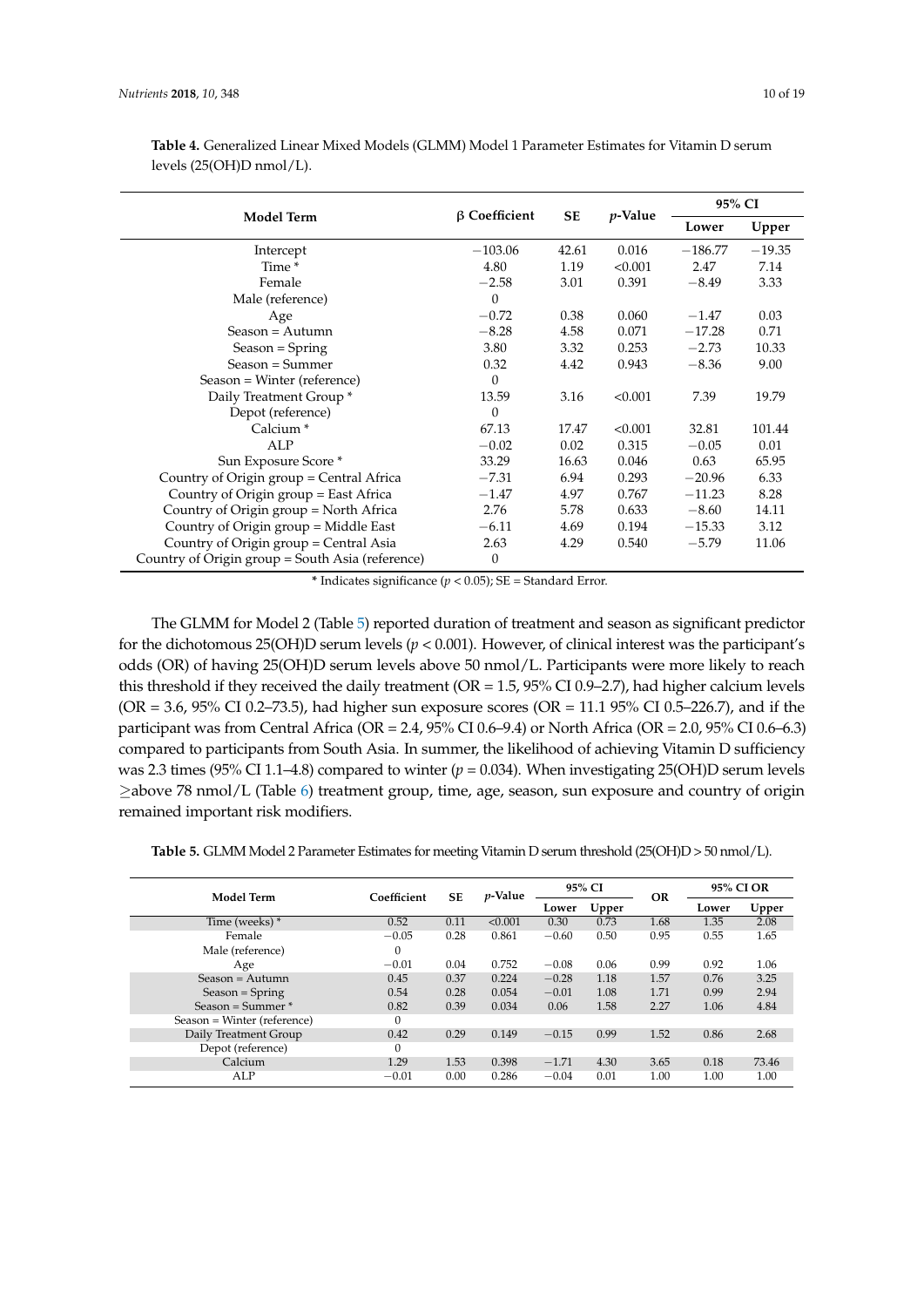|                                                  |                     |       |                 | 95% CI    |          |  |
|--------------------------------------------------|---------------------|-------|-----------------|-----------|----------|--|
| <b>Model Term</b>                                | $\beta$ Coefficient | SE    | <i>p</i> -Value | Lower     | Upper    |  |
| Intercept                                        | $-103.06$           | 42.61 | 0.016           | $-186.77$ | $-19.35$ |  |
| Time <sup>*</sup>                                | 4.80                | 1.19  | < 0.001         | 2.47      | 7.14     |  |
| Female                                           | $-2.58$             | 3.01  | 0.391           | $-8.49$   | 3.33     |  |
| Male (reference)                                 | $\Omega$            |       |                 |           |          |  |
| Age                                              | $-0.72$             | 0.38  | 0.060           | $-1.47$   | 0.03     |  |
| $Season = Autumn$                                | $-8.28$             | 4.58  | 0.071           | $-17.28$  | 0.71     |  |
| Season = Spring                                  | 3.80                | 3.32  | 0.253           | $-2.73$   | 10.33    |  |
| $Season = Summer$                                | 0.32                | 4.42  | 0.943           | $-8.36$   | 9.00     |  |
| Season = Winter (reference)                      | $\Omega$            |       |                 |           |          |  |
| Daily Treatment Group <sup>*</sup>               | 13.59               | 3.16  | < 0.001         | 7.39      | 19.79    |  |
| Depot (reference)                                | 0                   |       |                 |           |          |  |
| Calcium <sup>*</sup>                             | 67.13               | 17.47 | < 0.001         | 32.81     | 101.44   |  |
| ALP                                              | $-0.02$             | 0.02  | 0.315           | $-0.05$   | 0.01     |  |
| Sun Exposure Score *                             | 33.29               | 16.63 | 0.046           | 0.63      | 65.95    |  |
| Country of Origin group = Central Africa         | $-7.31$             | 6.94  | 0.293           | $-20.96$  | 6.33     |  |
| Country of Origin group = East Africa            | $-1.47$             | 4.97  | 0.767           | $-11.23$  | 8.28     |  |
| Country of Origin group = North Africa           | 2.76                | 5.78  | 0.633           | $-8.60$   | 14.11    |  |
| Country of Origin group = Middle East            | $-6.11$             | 4.69  | 0.194           | $-15.33$  | 3.12     |  |
| Country of Origin group = Central Asia           | 2.63                | 4.29  | 0.540           | $-5.79$   | 11.06    |  |
| Country of Origin group = South Asia (reference) | 0                   |       |                 |           |          |  |

<span id="page-12-0"></span>**Table 4.** Generalized Linear Mixed Models (GLMM) Model 1 Parameter Estimates for Vitamin D serum levels (25(OH)D nmol/L).

**\*** Indicates significance (*p* < 0.05); SE = Standard Error.

The GLMM for Model 2 (Table [5\)](#page-13-0) reported duration of treatment and season as significant predictor for the dichotomous 25(OH)D serum levels (*p* < 0.001). However, of clinical interest was the participant's odds (OR) of having 25(OH)D serum levels above 50 nmol/L. Participants were more likely to reach this threshold if they received the daily treatment (OR = 1.5, 95% CI 0.9–2.7), had higher calcium levels (OR = 3.6, 95% CI 0.2–73.5), had higher sun exposure scores (OR = 11.1 95% CI 0.5–226.7), and if the participant was from Central Africa (OR = 2.4, 95% CI 0.6–9.4) or North Africa (OR = 2.0, 95% CI 0.6–6.3) compared to participants from South Asia. In summer, the likelihood of achieving Vitamin D sufficiency was 2.3 times (95% CI 1.1–4.8) compared to winter ( $p = 0.034$ ). When investigating 25(OH)D serum levels ≥above 78 nmol/L (Table [6\)](#page-13-1) treatment group, time, age, season, sun exposure and country of origin remained important risk modifiers.

**Table 5.** GLMM Model 2 Parameter Estimates for meeting Vitamin D serum threshold (25(OH)D > 50 nmol/L).

| Model Term                  | Coefficient  | <b>SE</b> | $p$ -Value | 95% CI  |       | <b>OR</b> | 95% CI OR |       |
|-----------------------------|--------------|-----------|------------|---------|-------|-----------|-----------|-------|
|                             |              |           |            | Lower   | Upper |           | Lower     | Upper |
| Time (weeks) *              | 0.52         | 0.11      | < 0.001    | 0.30    | 0.73  | 1.68      | 1.35      | 2.08  |
| Female                      | $-0.05$      | 0.28      | 0.861      | $-0.60$ | 0.50  | 0.95      | 0.55      | 1.65  |
| Male (reference)            | $\mathbf{0}$ |           |            |         |       |           |           |       |
| Age                         | $-0.01$      | 0.04      | 0.752      | $-0.08$ | 0.06  | 0.99      | 0.92      | 1.06  |
| $Season =$ Autumn           | 0.45         | 0.37      | 0.224      | $-0.28$ | 1.18  | 1.57      | 0.76      | 3.25  |
| $Season = Spring$           | 0.54         | 0.28      | 0.054      | $-0.01$ | 1.08  | 1.71      | 0.99      | 2.94  |
| Season = Summer $*$         | 0.82         | 0.39      | 0.034      | 0.06    | 1.58  | 2.27      | 1.06      | 4.84  |
| Season = Winter (reference) | 0            |           |            |         |       |           |           |       |
| Daily Treatment Group       | 0.42         | 0.29      | 0.149      | $-0.15$ | 0.99  | 1.52      | 0.86      | 2.68  |
| Depot (reference)           | 0            |           |            |         |       |           |           |       |
| Calcium                     | 1.29         | 1.53      | 0.398      | $-1.71$ | 4.30  | 3.65      | 0.18      | 73.46 |
| ALP                         | $-0.01$      | 0.00      | 0.286      | $-0.04$ | 0.01  | 1.00      | 1.00      | 1.00  |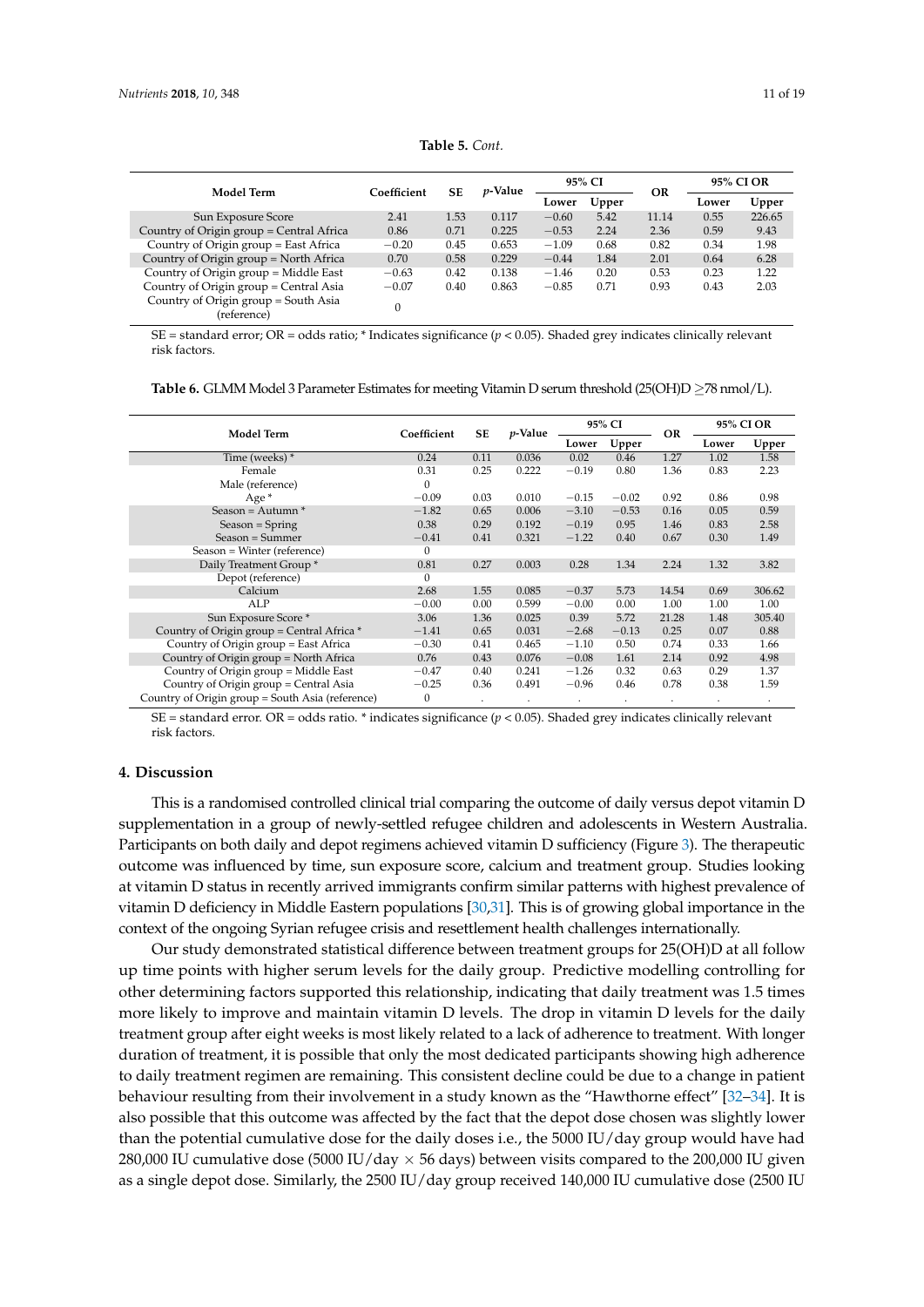<span id="page-13-0"></span>

| Model Term                                          | Coefficient | <b>SE</b> | <i>p</i> -Value | 95% CI  |       | <b>OR</b> | 95% CI OR |        |
|-----------------------------------------------------|-------------|-----------|-----------------|---------|-------|-----------|-----------|--------|
|                                                     |             |           |                 | Lower   | Upper |           | Lower     | Upper  |
| Sun Exposure Score                                  | 2.41        | 1.53      | 0.117           | $-0.60$ | 5.42  | 11.14     | 0.55      | 226.65 |
| Country of Origin group = Central Africa            | 0.86        | 0.71      | 0.225           | $-0.53$ | 2.24  | 2.36      | 0.59      | 9.43   |
| Country of Origin group = East Africa               | $-0.20$     | 0.45      | 0.653           | $-1.09$ | 0.68  | 0.82      | 0.34      | 1.98   |
| Country of Origin group = North Africa              | 0.70        | 0.58      | 0.229           | $-0.44$ | 1.84  | 2.01      | 0.64      | 6.28   |
| Country of Origin group = Middle East               | $-0.63$     | 0.42      | 0.138           | $-1.46$ | 0.20  | 0.53      | 0.23      | 1.22   |
| Country of Origin group = Central Asia              | $-0.07$     | 0.40      | 0.863           | $-0.85$ | 0.71  | 0.93      | 0.43      | 2.03   |
| Country of Origin group = South Asia<br>(reference) |             |           |                 |         |       |           |           |        |

**Table 5.** *Cont.*

SE = standard error; OR = odds ratio; \* Indicates significance (*p* < 0.05). Shaded grey indicates clinically relevant risk factors.

<span id="page-13-1"></span>**Table 6.** GLMM Model 3 Parameter Estimates for meeting Vitamin D serum threshold (25(OH)D ≥78 nmol/L).

| <b>Model Term</b>                                | Coefficient  | <b>SE</b> | $p$ -Value | 95% CI  |         | <b>OR</b> | 95% CI OR |        |  |
|--------------------------------------------------|--------------|-----------|------------|---------|---------|-----------|-----------|--------|--|
|                                                  |              |           |            | Lower   | Upper   |           | Lower     | Upper  |  |
| Time (weeks) *                                   | 0.24         | 0.11      | 0.036      | 0.02    | 0.46    | 1.27      | 1.02      | 1.58   |  |
| Female                                           | 0.31         | 0.25      | 0.222      | $-0.19$ | 0.80    | 1.36      | 0.83      | 2.23   |  |
| Male (reference)                                 | $\Omega$     |           |            |         |         |           |           |        |  |
| Age <sup>*</sup>                                 | $-0.09$      | 0.03      | 0.010      | $-0.15$ | $-0.02$ | 0.92      | 0.86      | 0.98   |  |
| Season = $\text{Autumn}^*$                       | $-1.82$      | 0.65      | 0.006      | $-3.10$ | $-0.53$ | 0.16      | 0.05      | 0.59   |  |
| $Season = Spring$                                | 0.38         | 0.29      | 0.192      | $-0.19$ | 0.95    | 1.46      | 0.83      | 2.58   |  |
| $Season = Summer$                                | $-0.41$      | 0.41      | 0.321      | $-1.22$ | 0.40    | 0.67      | 0.30      | 1.49   |  |
| Season = Winter (reference)                      | $\mathbf{0}$ |           |            |         |         |           |           |        |  |
| Daily Treatment Group <sup>*</sup>               | 0.81         | 0.27      | 0.003      | 0.28    | 1.34    | 2.24      | 1.32      | 3.82   |  |
| Depot (reference)                                | $\Omega$     |           |            |         |         |           |           |        |  |
| Calcium                                          | 2.68         | 1.55      | 0.085      | $-0.37$ | 5.73    | 14.54     | 0.69      | 306.62 |  |
| ALP                                              | $-0.00$      | 0.00      | 0.599      | $-0.00$ | 0.00    | 1.00      | 1.00      | 1.00   |  |
| Sun Exposure Score *                             | 3.06         | 1.36      | 0.025      | 0.39    | 5.72    | 21.28     | 1.48      | 305.40 |  |
| Country of Origin group = Central Africa *       | $-1.41$      | 0.65      | 0.031      | $-2.68$ | $-0.13$ | 0.25      | 0.07      | 0.88   |  |
| Country of Origin group = East Africa            | $-0.30$      | 0.41      | 0.465      | $-1.10$ | 0.50    | 0.74      | 0.33      | 1.66   |  |
| Country of Origin group = North Africa           | 0.76         | 0.43      | 0.076      | $-0.08$ | 1.61    | 2.14      | 0.92      | 4.98   |  |
| Country of Origin group = Middle East            | $-0.47$      | 0.40      | 0.241      | $-1.26$ | 0.32    | 0.63      | 0.29      | 1.37   |  |
| Country of Origin group = Central Asia           | $-0.25$      | 0.36      | 0.491      | $-0.96$ | 0.46    | 0.78      | 0.38      | 1.59   |  |
| Country of Origin group = South Asia (reference) | 0            |           |            |         |         |           |           |        |  |

SE = standard error. OR = odds ratio. \* indicates significance (*p* < 0.05). Shaded grey indicates clinically relevant risk factors.

#### **4. Discussion**

This is a randomised controlled clinical trial comparing the outcome of daily versus depot vitamin D supplementation in a group of newly-settled refugee children and adolescents in Western Australia. Participants on both daily and depot regimens achieved vitamin D sufficiency (Figure [3\)](#page-10-0). The therapeutic outcome was influenced by time, sun exposure score, calcium and treatment group. Studies looking at vitamin D status in recently arrived immigrants confirm similar patterns with highest prevalence of vitamin D deficiency in Middle Eastern populations [\[30,](#page-18-10)[31\]](#page-18-11). This is of growing global importance in the context of the ongoing Syrian refugee crisis and resettlement health challenges internationally.

Our study demonstrated statistical difference between treatment groups for 25(OH)D at all follow up time points with higher serum levels for the daily group. Predictive modelling controlling for other determining factors supported this relationship, indicating that daily treatment was 1.5 times more likely to improve and maintain vitamin D levels. The drop in vitamin D levels for the daily treatment group after eight weeks is most likely related to a lack of adherence to treatment. With longer duration of treatment, it is possible that only the most dedicated participants showing high adherence to daily treatment regimen are remaining. This consistent decline could be due to a change in patient behaviour resulting from their involvement in a study known as the "Hawthorne effect" [\[32–](#page-18-12)[34\]](#page-18-13). It is also possible that this outcome was affected by the fact that the depot dose chosen was slightly lower than the potential cumulative dose for the daily doses i.e., the 5000 IU/day group would have had 280,000 IU cumulative dose (5000 IU/day  $\times$  56 days) between visits compared to the 200,000 IU given as a single depot dose. Similarly, the 2500 IU/day group received 140,000 IU cumulative dose (2500 IU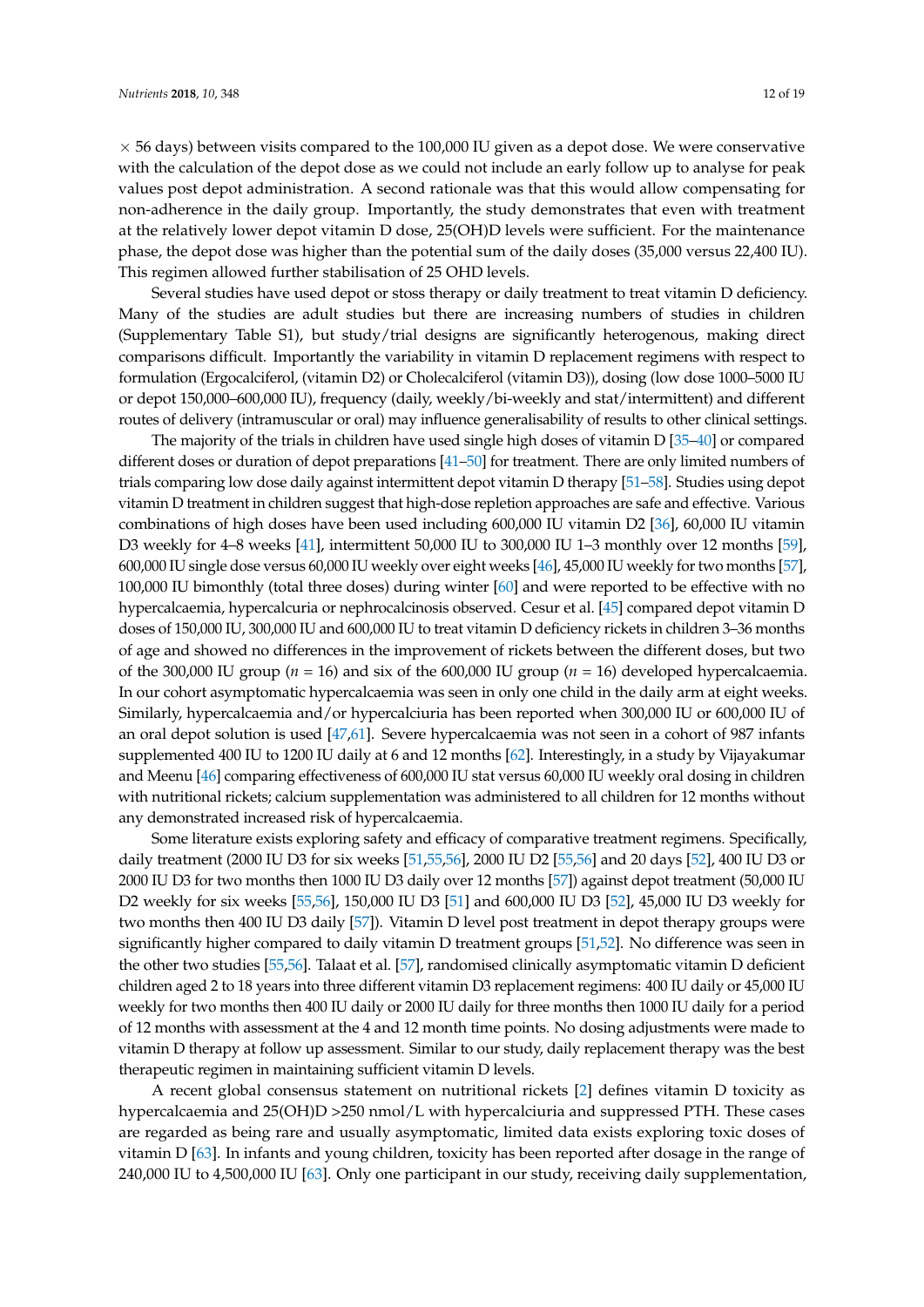$\times$  56 days) between visits compared to the 100,000 IU given as a depot dose. We were conservative with the calculation of the depot dose as we could not include an early follow up to analyse for peak values post depot administration. A second rationale was that this would allow compensating for non-adherence in the daily group. Importantly, the study demonstrates that even with treatment at the relatively lower depot vitamin D dose, 25(OH)D levels were sufficient. For the maintenance phase, the depot dose was higher than the potential sum of the daily doses (35,000 versus 22,400 IU). This regimen allowed further stabilisation of 25 OHD levels.

Several studies have used depot or stoss therapy or daily treatment to treat vitamin D deficiency. Many of the studies are adult studies but there are increasing numbers of studies in children (Supplementary Table S1), but study/trial designs are significantly heterogenous, making direct comparisons difficult. Importantly the variability in vitamin D replacement regimens with respect to formulation (Ergocalciferol, (vitamin D2) or Cholecalciferol (vitamin D3)), dosing (low dose 1000–5000 IU or depot 150,000–600,000 IU), frequency (daily, weekly/bi-weekly and stat/intermittent) and different routes of delivery (intramuscular or oral) may influence generalisability of results to other clinical settings.

The majority of the trials in children have used single high doses of vitamin D [\[35](#page-18-14)[–40\]](#page-19-0) or compared different doses or duration of depot preparations [\[41](#page-19-1)[–50\]](#page-19-2) for treatment. There are only limited numbers of trials comparing low dose daily against intermittent depot vitamin D therapy [\[51](#page-19-3)[–58\]](#page-20-0). Studies using depot vitamin D treatment in children suggest that high-dose repletion approaches are safe and effective. Various combinations of high doses have been used including 600,000 IU vitamin D2 [\[36\]](#page-18-15), 60,000 IU vitamin D3 weekly for 4–8 weeks [\[41\]](#page-19-1), intermittent 50,000 IU to 300,000 IU 1–3 monthly over 12 months [\[59\]](#page-20-1), 600,000 IU single dose versus 60,000 IU weekly over eight weeks [\[46\]](#page-19-4), 45,000 IU weekly for two months [\[57\]](#page-19-5), 100,000 IU bimonthly (total three doses) during winter [\[60\]](#page-20-2) and were reported to be effective with no hypercalcaemia, hypercalcuria or nephrocalcinosis observed. Cesur et al. [\[45\]](#page-19-6) compared depot vitamin D doses of 150,000 IU, 300,000 IU and 600,000 IU to treat vitamin D deficiency rickets in children 3–36 months of age and showed no differences in the improvement of rickets between the different doses, but two of the 300,000 IU group ( $n = 16$ ) and six of the 600,000 IU group ( $n = 16$ ) developed hypercalcaemia. In our cohort asymptomatic hypercalcaemia was seen in only one child in the daily arm at eight weeks. Similarly, hypercalcaemia and/or hypercalciuria has been reported when 300,000 IU or 600,000 IU of an oral depot solution is used [\[47,](#page-19-7)[61\]](#page-20-3). Severe hypercalcaemia was not seen in a cohort of 987 infants supplemented 400 IU to 1200 IU daily at 6 and 12 months [\[62\]](#page-20-4). Interestingly, in a study by Vijayakumar and Meenu [\[46\]](#page-19-4) comparing effectiveness of 600,000 IU stat versus 60,000 IU weekly oral dosing in children with nutritional rickets; calcium supplementation was administered to all children for 12 months without any demonstrated increased risk of hypercalcaemia.

Some literature exists exploring safety and efficacy of comparative treatment regimens. Specifically, daily treatment (2000 IU D3 for six weeks [\[51](#page-19-3)[,55](#page-19-8)[,56\]](#page-19-9), 2000 IU D2 [\[55](#page-19-8)[,56\]](#page-19-9) and 20 days [\[52\]](#page-19-10), 400 IU D3 or 2000 IU D3 for two months then 1000 IU D3 daily over 12 months [\[57\]](#page-19-5)) against depot treatment (50,000 IU D2 weekly for six weeks [\[55](#page-19-8)[,56\]](#page-19-9), 150,000 IU D3 [\[51\]](#page-19-3) and 600,000 IU D3 [\[52\]](#page-19-10), 45,000 IU D3 weekly for two months then 400 IU D3 daily [\[57\]](#page-19-5)). Vitamin D level post treatment in depot therapy groups were significantly higher compared to daily vitamin D treatment groups [\[51](#page-19-3)[,52\]](#page-19-10). No difference was seen in the other two studies [\[55](#page-19-8)[,56\]](#page-19-9). Talaat et al. [\[57\]](#page-19-5), randomised clinically asymptomatic vitamin D deficient children aged 2 to 18 years into three different vitamin D3 replacement regimens: 400 IU daily or 45,000 IU weekly for two months then 400 IU daily or 2000 IU daily for three months then 1000 IU daily for a period of 12 months with assessment at the 4 and 12 month time points. No dosing adjustments were made to vitamin D therapy at follow up assessment. Similar to our study, daily replacement therapy was the best therapeutic regimen in maintaining sufficient vitamin D levels.

A recent global consensus statement on nutritional rickets [\[2\]](#page-17-1) defines vitamin D toxicity as hypercalcaemia and 25(OH)D >250 nmol/L with hypercalciuria and suppressed PTH. These cases are regarded as being rare and usually asymptomatic, limited data exists exploring toxic doses of vitamin D [\[63\]](#page-20-5). In infants and young children, toxicity has been reported after dosage in the range of 240,000 IU to 4,500,000 IU [\[63\]](#page-20-5). Only one participant in our study, receiving daily supplementation,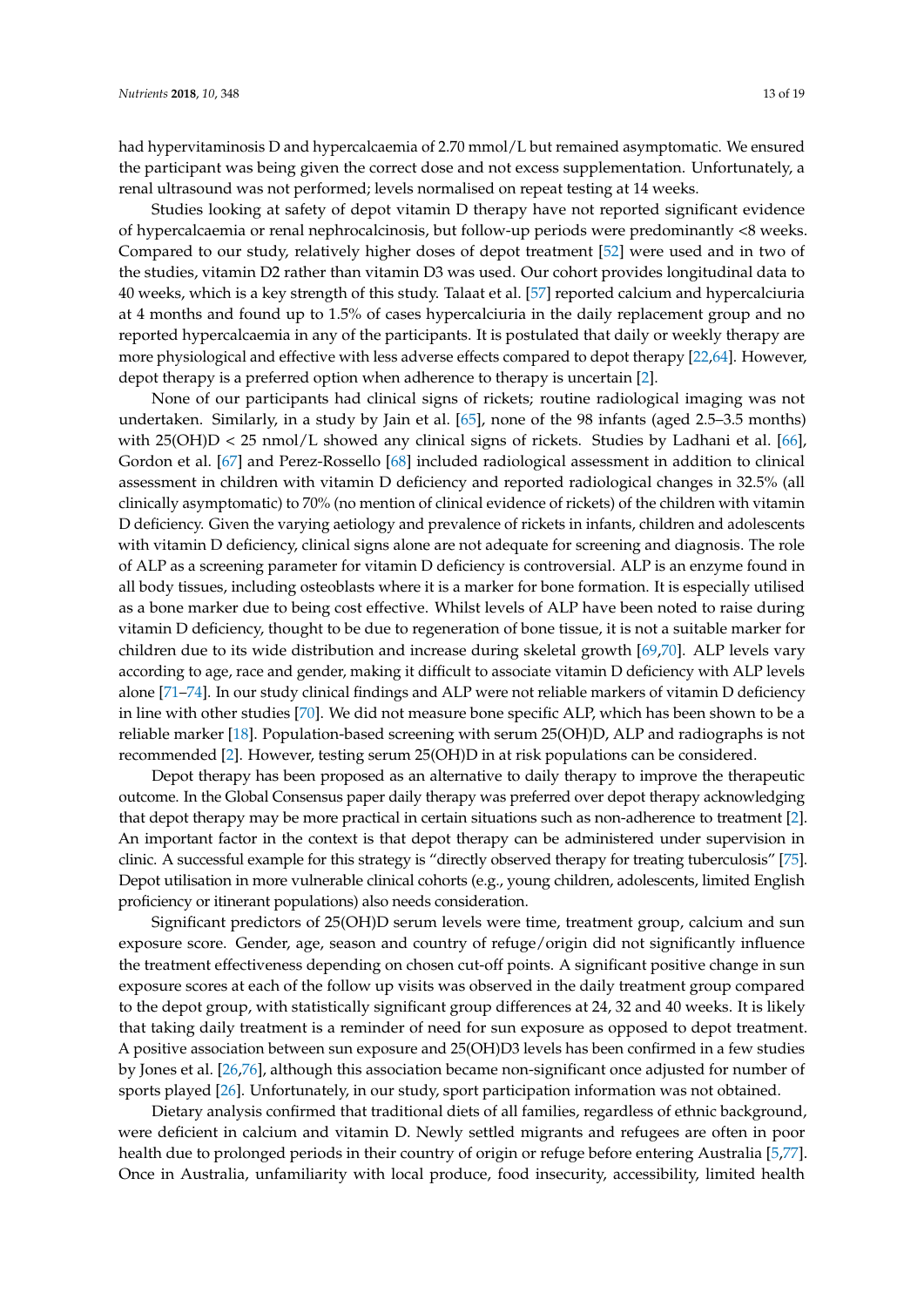had hypervitaminosis D and hypercalcaemia of 2.70 mmol/L but remained asymptomatic. We ensured the participant was being given the correct dose and not excess supplementation. Unfortunately, a renal ultrasound was not performed; levels normalised on repeat testing at 14 weeks.

Studies looking at safety of depot vitamin D therapy have not reported significant evidence of hypercalcaemia or renal nephrocalcinosis, but follow-up periods were predominantly <8 weeks. Compared to our study, relatively higher doses of depot treatment [\[52\]](#page-19-10) were used and in two of the studies, vitamin D2 rather than vitamin D3 was used. Our cohort provides longitudinal data to 40 weeks, which is a key strength of this study. Talaat et al. [\[57\]](#page-19-5) reported calcium and hypercalciuria at 4 months and found up to 1.5% of cases hypercalciuria in the daily replacement group and no reported hypercalcaemia in any of the participants. It is postulated that daily or weekly therapy are more physiological and effective with less adverse effects compared to depot therapy [\[22](#page-18-3)[,64\]](#page-20-6). However, depot therapy is a preferred option when adherence to therapy is uncertain [\[2\]](#page-17-1).

None of our participants had clinical signs of rickets; routine radiological imaging was not undertaken. Similarly, in a study by Jain et al. [\[65\]](#page-20-7), none of the 98 infants (aged 2.5–3.5 months) with 25(OH)D < 25 nmol/L showed any clinical signs of rickets. Studies by Ladhani et al. [\[66\]](#page-20-8), Gordon et al. [\[67\]](#page-20-9) and Perez-Rossello [\[68\]](#page-20-10) included radiological assessment in addition to clinical assessment in children with vitamin D deficiency and reported radiological changes in 32.5% (all clinically asymptomatic) to 70% (no mention of clinical evidence of rickets) of the children with vitamin D deficiency. Given the varying aetiology and prevalence of rickets in infants, children and adolescents with vitamin D deficiency, clinical signs alone are not adequate for screening and diagnosis. The role of ALP as a screening parameter for vitamin D deficiency is controversial. ALP is an enzyme found in all body tissues, including osteoblasts where it is a marker for bone formation. It is especially utilised as a bone marker due to being cost effective. Whilst levels of ALP have been noted to raise during vitamin D deficiency, thought to be due to regeneration of bone tissue, it is not a suitable marker for children due to its wide distribution and increase during skeletal growth [\[69,](#page-20-11)[70\]](#page-20-12). ALP levels vary according to age, race and gender, making it difficult to associate vitamin D deficiency with ALP levels alone [\[71–](#page-20-13)[74\]](#page-20-14). In our study clinical findings and ALP were not reliable markers of vitamin D deficiency in line with other studies [\[70\]](#page-20-12). We did not measure bone specific ALP, which has been shown to be a reliable marker [\[18\]](#page-17-14). Population-based screening with serum 25(OH)D, ALP and radiographs is not recommended [\[2\]](#page-17-1). However, testing serum 25(OH)D in at risk populations can be considered.

Depot therapy has been proposed as an alternative to daily therapy to improve the therapeutic outcome. In the Global Consensus paper daily therapy was preferred over depot therapy acknowledging that depot therapy may be more practical in certain situations such as non-adherence to treatment [\[2\]](#page-17-1). An important factor in the context is that depot therapy can be administered under supervision in clinic. A successful example for this strategy is "directly observed therapy for treating tuberculosis" [\[75\]](#page-20-15). Depot utilisation in more vulnerable clinical cohorts (e.g., young children, adolescents, limited English proficiency or itinerant populations) also needs consideration.

Significant predictors of 25(OH)D serum levels were time, treatment group, calcium and sun exposure score. Gender, age, season and country of refuge/origin did not significantly influence the treatment effectiveness depending on chosen cut-off points. A significant positive change in sun exposure scores at each of the follow up visits was observed in the daily treatment group compared to the depot group, with statistically significant group differences at 24, 32 and 40 weeks. It is likely that taking daily treatment is a reminder of need for sun exposure as opposed to depot treatment. A positive association between sun exposure and 25(OH)D3 levels has been confirmed in a few studies by Jones et al. [\[26](#page-18-6)[,76\]](#page-20-16), although this association became non-significant once adjusted for number of sports played [\[26\]](#page-18-6). Unfortunately, in our study, sport participation information was not obtained.

Dietary analysis confirmed that traditional diets of all families, regardless of ethnic background, were deficient in calcium and vitamin D. Newly settled migrants and refugees are often in poor health due to prolonged periods in their country of origin or refuge before entering Australia [\[5,](#page-17-4)[77\]](#page-20-17). Once in Australia, unfamiliarity with local produce, food insecurity, accessibility, limited health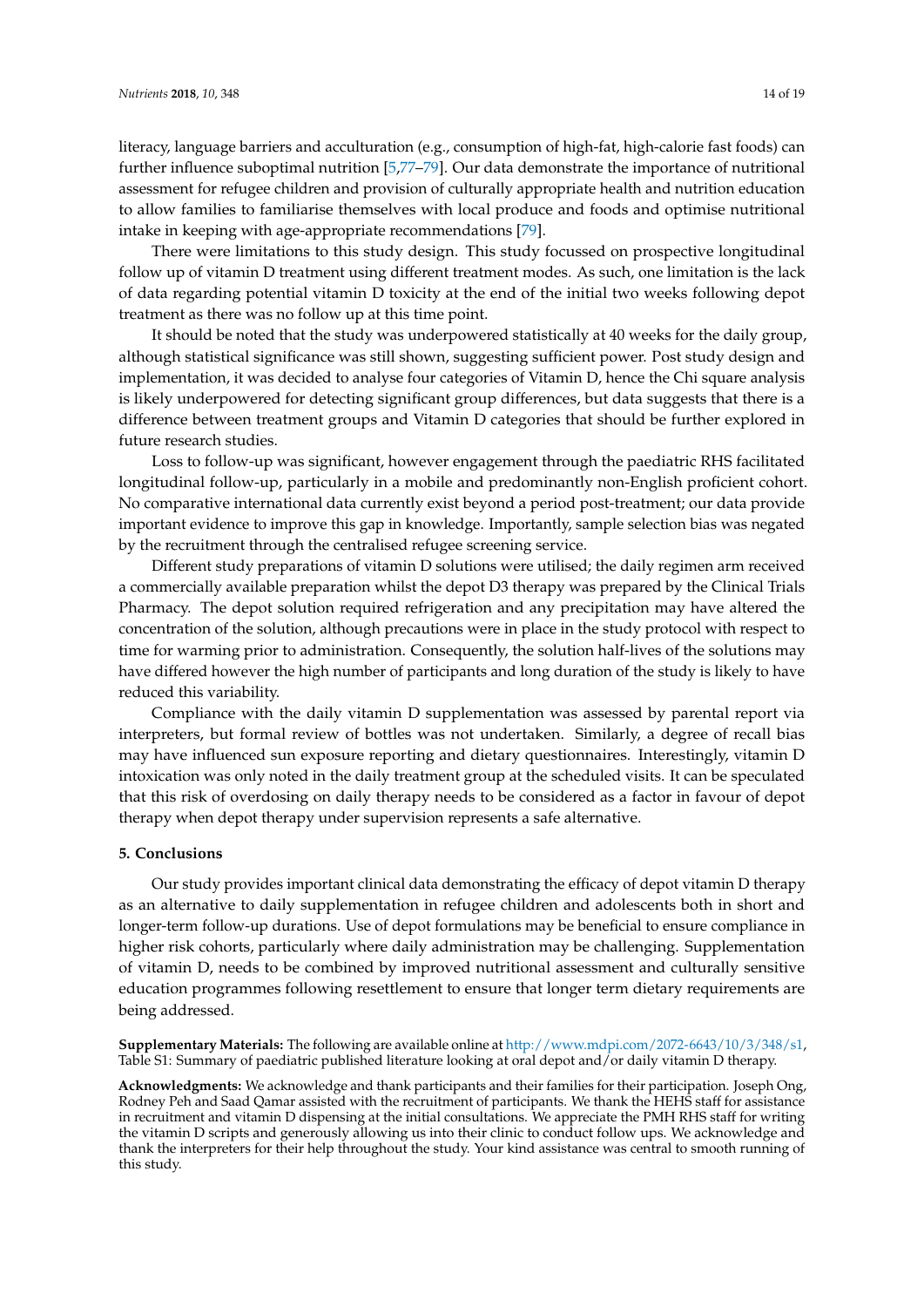literacy, language barriers and acculturation (e.g., consumption of high-fat, high-calorie fast foods) can further influence suboptimal nutrition [\[5](#page-17-4)[,77–](#page-20-17)[79\]](#page-21-0). Our data demonstrate the importance of nutritional assessment for refugee children and provision of culturally appropriate health and nutrition education to allow families to familiarise themselves with local produce and foods and optimise nutritional intake in keeping with age-appropriate recommendations [\[79\]](#page-21-0).

There were limitations to this study design. This study focussed on prospective longitudinal follow up of vitamin D treatment using different treatment modes. As such, one limitation is the lack of data regarding potential vitamin D toxicity at the end of the initial two weeks following depot treatment as there was no follow up at this time point.

It should be noted that the study was underpowered statistically at 40 weeks for the daily group, although statistical significance was still shown, suggesting sufficient power. Post study design and implementation, it was decided to analyse four categories of Vitamin D, hence the Chi square analysis is likely underpowered for detecting significant group differences, but data suggests that there is a difference between treatment groups and Vitamin D categories that should be further explored in future research studies.

Loss to follow-up was significant, however engagement through the paediatric RHS facilitated longitudinal follow-up, particularly in a mobile and predominantly non-English proficient cohort. No comparative international data currently exist beyond a period post-treatment; our data provide important evidence to improve this gap in knowledge. Importantly, sample selection bias was negated by the recruitment through the centralised refugee screening service.

Different study preparations of vitamin D solutions were utilised; the daily regimen arm received a commercially available preparation whilst the depot D3 therapy was prepared by the Clinical Trials Pharmacy. The depot solution required refrigeration and any precipitation may have altered the concentration of the solution, although precautions were in place in the study protocol with respect to time for warming prior to administration. Consequently, the solution half-lives of the solutions may have differed however the high number of participants and long duration of the study is likely to have reduced this variability.

Compliance with the daily vitamin D supplementation was assessed by parental report via interpreters, but formal review of bottles was not undertaken. Similarly, a degree of recall bias may have influenced sun exposure reporting and dietary questionnaires. Interestingly, vitamin D intoxication was only noted in the daily treatment group at the scheduled visits. It can be speculated that this risk of overdosing on daily therapy needs to be considered as a factor in favour of depot therapy when depot therapy under supervision represents a safe alternative.

#### **5. Conclusions**

Our study provides important clinical data demonstrating the efficacy of depot vitamin D therapy as an alternative to daily supplementation in refugee children and adolescents both in short and longer-term follow-up durations. Use of depot formulations may be beneficial to ensure compliance in higher risk cohorts, particularly where daily administration may be challenging. Supplementation of vitamin D, needs to be combined by improved nutritional assessment and culturally sensitive education programmes following resettlement to ensure that longer term dietary requirements are being addressed.

**Supplementary Materials:** The following are available online at [http://www.mdpi.com/2072-6643/10/3/348/s1,](http://www.mdpi.com/2072-6643/10/3/348/s1) Table S1: Summary of paediatric published literature looking at oral depot and/or daily vitamin D therapy.

**Acknowledgments:** We acknowledge and thank participants and their families for their participation. Joseph Ong, Rodney Peh and Saad Qamar assisted with the recruitment of participants. We thank the HEHS staff for assistance in recruitment and vitamin D dispensing at the initial consultations. We appreciate the PMH RHS staff for writing the vitamin D scripts and generously allowing us into their clinic to conduct follow ups. We acknowledge and thank the interpreters for their help throughout the study. Your kind assistance was central to smooth running of this study.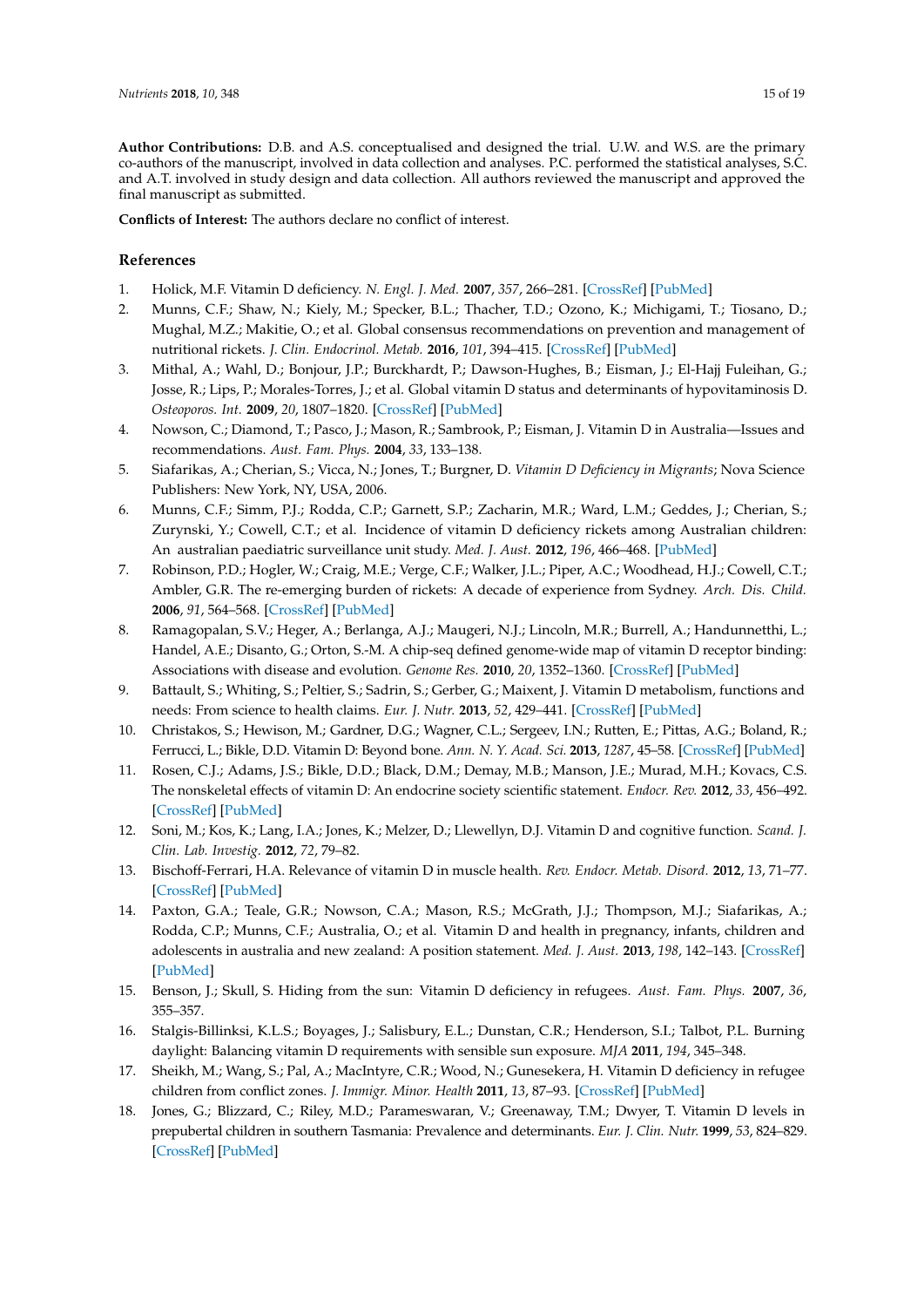**Author Contributions:** D.B. and A.S. conceptualised and designed the trial. U.W. and W.S. are the primary co-authors of the manuscript, involved in data collection and analyses. P.C. performed the statistical analyses, S.C. and A.T. involved in study design and data collection. All authors reviewed the manuscript and approved the final manuscript as submitted.

**Conflicts of Interest:** The authors declare no conflict of interest.

#### **References**

- <span id="page-17-0"></span>1. Holick, M.F. Vitamin D deficiency. *N. Engl. J. Med.* **2007**, *357*, 266–281. [\[CrossRef\]](http://dx.doi.org/10.1056/NEJMra070553) [\[PubMed\]](http://www.ncbi.nlm.nih.gov/pubmed/17634462)
- <span id="page-17-1"></span>2. Munns, C.F.; Shaw, N.; Kiely, M.; Specker, B.L.; Thacher, T.D.; Ozono, K.; Michigami, T.; Tiosano, D.; Mughal, M.Z.; Makitie, O.; et al. Global consensus recommendations on prevention and management of nutritional rickets. *J. Clin. Endocrinol. Metab.* **2016**, *101*, 394–415. [\[CrossRef\]](http://dx.doi.org/10.1210/jc.2015-2175) [\[PubMed\]](http://www.ncbi.nlm.nih.gov/pubmed/26745253)
- <span id="page-17-2"></span>3. Mithal, A.; Wahl, D.; Bonjour, J.P.; Burckhardt, P.; Dawson-Hughes, B.; Eisman, J.; El-Hajj Fuleihan, G.; Josse, R.; Lips, P.; Morales-Torres, J.; et al. Global vitamin D status and determinants of hypovitaminosis D. *Osteoporos. Int.* **2009**, *20*, 1807–1820. [\[CrossRef\]](http://dx.doi.org/10.1007/s00198-009-0954-6) [\[PubMed\]](http://www.ncbi.nlm.nih.gov/pubmed/19543765)
- <span id="page-17-3"></span>4. Nowson, C.; Diamond, T.; Pasco, J.; Mason, R.; Sambrook, P.; Eisman, J. Vitamin D in Australia—Issues and recommendations. *Aust. Fam. Phys.* **2004**, *33*, 133–138.
- <span id="page-17-4"></span>5. Siafarikas, A.; Cherian, S.; Vicca, N.; Jones, T.; Burgner, D. *Vitamin D Deficiency in Migrants*; Nova Science Publishers: New York, NY, USA, 2006.
- <span id="page-17-5"></span>6. Munns, C.F.; Simm, P.J.; Rodda, C.P.; Garnett, S.P.; Zacharin, M.R.; Ward, L.M.; Geddes, J.; Cherian, S.; Zurynski, Y.; Cowell, C.T.; et al. Incidence of vitamin D deficiency rickets among Australian children: An australian paediatric surveillance unit study. *Med. J. Aust.* **2012**, *196*, 466–468. [\[PubMed\]](http://www.ncbi.nlm.nih.gov/pubmed/22509879)
- <span id="page-17-6"></span>7. Robinson, P.D.; Hogler, W.; Craig, M.E.; Verge, C.F.; Walker, J.L.; Piper, A.C.; Woodhead, H.J.; Cowell, C.T.; Ambler, G.R. The re-emerging burden of rickets: A decade of experience from Sydney. *Arch. Dis. Child.* **2006**, *91*, 564–568. [\[CrossRef\]](http://dx.doi.org/10.1136/adc.2004.069575) [\[PubMed\]](http://www.ncbi.nlm.nih.gov/pubmed/15956045)
- <span id="page-17-7"></span>8. Ramagopalan, S.V.; Heger, A.; Berlanga, A.J.; Maugeri, N.J.; Lincoln, M.R.; Burrell, A.; Handunnetthi, L.; Handel, A.E.; Disanto, G.; Orton, S.-M. A chip-seq defined genome-wide map of vitamin D receptor binding: Associations with disease and evolution. *Genome Res.* **2010**, *20*, 1352–1360. [\[CrossRef\]](http://dx.doi.org/10.1101/gr.107920.110) [\[PubMed\]](http://www.ncbi.nlm.nih.gov/pubmed/20736230)
- <span id="page-17-8"></span>9. Battault, S.; Whiting, S.; Peltier, S.; Sadrin, S.; Gerber, G.; Maixent, J. Vitamin D metabolism, functions and needs: From science to health claims. *Eur. J. Nutr.* **2013**, *52*, 429–441. [\[CrossRef\]](http://dx.doi.org/10.1007/s00394-012-0430-5) [\[PubMed\]](http://www.ncbi.nlm.nih.gov/pubmed/22886046)
- 10. Christakos, S.; Hewison, M.; Gardner, D.G.; Wagner, C.L.; Sergeev, I.N.; Rutten, E.; Pittas, A.G.; Boland, R.; Ferrucci, L.; Bikle, D.D. Vitamin D: Beyond bone. *Ann. N. Y. Acad. Sci.* **2013**, *1287*, 45–58. [\[CrossRef\]](http://dx.doi.org/10.1111/nyas.12129) [\[PubMed\]](http://www.ncbi.nlm.nih.gov/pubmed/23682710)
- <span id="page-17-10"></span>11. Rosen, C.J.; Adams, J.S.; Bikle, D.D.; Black, D.M.; Demay, M.B.; Manson, J.E.; Murad, M.H.; Kovacs, C.S. The nonskeletal effects of vitamin D: An endocrine society scientific statement. *Endocr. Rev.* **2012**, *33*, 456–492. [\[CrossRef\]](http://dx.doi.org/10.1210/er.2012-1000) [\[PubMed\]](http://www.ncbi.nlm.nih.gov/pubmed/22596255)
- 12. Soni, M.; Kos, K.; Lang, I.A.; Jones, K.; Melzer, D.; Llewellyn, D.J. Vitamin D and cognitive function. *Scand. J. Clin. Lab. Investig.* **2012**, *72*, 79–82.
- <span id="page-17-9"></span>13. Bischoff-Ferrari, H.A. Relevance of vitamin D in muscle health. *Rev. Endocr. Metab. Disord.* **2012**, *13*, 71–77. [\[CrossRef\]](http://dx.doi.org/10.1007/s11154-011-9200-6) [\[PubMed\]](http://www.ncbi.nlm.nih.gov/pubmed/22020957)
- <span id="page-17-11"></span>14. Paxton, G.A.; Teale, G.R.; Nowson, C.A.; Mason, R.S.; McGrath, J.J.; Thompson, M.J.; Siafarikas, A.; Rodda, C.P.; Munns, C.F.; Australia, O.; et al. Vitamin D and health in pregnancy, infants, children and adolescents in australia and new zealand: A position statement. *Med. J. Aust.* **2013**, *198*, 142–143. [\[CrossRef\]](http://dx.doi.org/10.5694/mja11.11592) [\[PubMed\]](http://www.ncbi.nlm.nih.gov/pubmed/23418693)
- <span id="page-17-12"></span>15. Benson, J.; Skull, S. Hiding from the sun: Vitamin D deficiency in refugees. *Aust. Fam. Phys.* **2007**, *36*, 355–357.
- 16. Stalgis-Billinksi, K.L.S.; Boyages, J.; Salisbury, E.L.; Dunstan, C.R.; Henderson, S.I.; Talbot, P.L. Burning daylight: Balancing vitamin D requirements with sensible sun exposure. *MJA* **2011**, *194*, 345–348.
- <span id="page-17-13"></span>17. Sheikh, M.; Wang, S.; Pal, A.; MacIntyre, C.R.; Wood, N.; Gunesekera, H. Vitamin D deficiency in refugee children from conflict zones. *J. Immigr. Minor. Health* **2011**, *13*, 87–93. [\[CrossRef\]](http://dx.doi.org/10.1007/s10903-010-9325-9) [\[PubMed\]](http://www.ncbi.nlm.nih.gov/pubmed/20198433)
- <span id="page-17-14"></span>18. Jones, G.; Blizzard, C.; Riley, M.D.; Parameswaran, V.; Greenaway, T.M.; Dwyer, T. Vitamin D levels in prepubertal children in southern Tasmania: Prevalence and determinants. *Eur. J. Clin. Nutr.* **1999**, *53*, 824–829. [\[CrossRef\]](http://dx.doi.org/10.1038/sj.ejcn.1600858) [\[PubMed\]](http://www.ncbi.nlm.nih.gov/pubmed/10556991)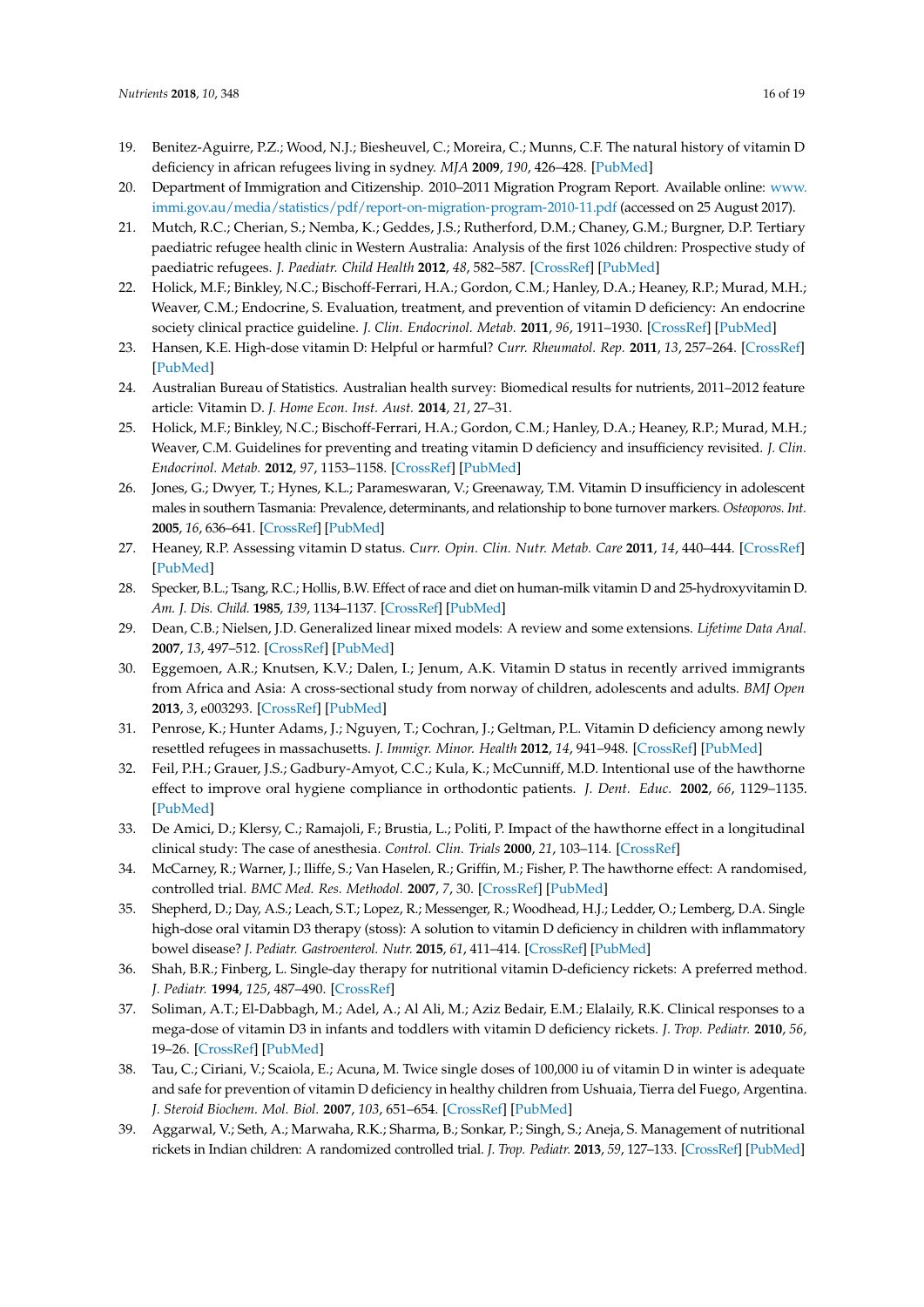- <span id="page-18-0"></span>19. Benitez-Aguirre, P.Z.; Wood, N.J.; Biesheuvel, C.; Moreira, C.; Munns, C.F. The natural history of vitamin D deficiency in african refugees living in sydney. *MJA* **2009**, *190*, 426–428. [\[PubMed\]](http://www.ncbi.nlm.nih.gov/pubmed/19374614)
- <span id="page-18-1"></span>20. Department of Immigration and Citizenship. 2010–2011 Migration Program Report. Available online: [www.](www.immi.gov.au/media/statistics/pdf/report-on-migration-program-2010-11.pdf) [immi.gov.au/media/statistics/pdf/report-on-migration-program-2010-11.pdf](www.immi.gov.au/media/statistics/pdf/report-on-migration-program-2010-11.pdf) (accessed on 25 August 2017).
- <span id="page-18-2"></span>21. Mutch, R.C.; Cherian, S.; Nemba, K.; Geddes, J.S.; Rutherford, D.M.; Chaney, G.M.; Burgner, D.P. Tertiary paediatric refugee health clinic in Western Australia: Analysis of the first 1026 children: Prospective study of paediatric refugees. *J. Paediatr. Child Health* **2012**, *48*, 582–587. [\[CrossRef\]](http://dx.doi.org/10.1111/j.1440-1754.2012.02429.x) [\[PubMed\]](http://www.ncbi.nlm.nih.gov/pubmed/22429646)
- <span id="page-18-3"></span>22. Holick, M.F.; Binkley, N.C.; Bischoff-Ferrari, H.A.; Gordon, C.M.; Hanley, D.A.; Heaney, R.P.; Murad, M.H.; Weaver, C.M.; Endocrine, S. Evaluation, treatment, and prevention of vitamin D deficiency: An endocrine society clinical practice guideline. *J. Clin. Endocrinol. Metab.* **2011**, *96*, 1911–1930. [\[CrossRef\]](http://dx.doi.org/10.1210/jc.2011-0385) [\[PubMed\]](http://www.ncbi.nlm.nih.gov/pubmed/21646368)
- 23. Hansen, K.E. High-dose vitamin D: Helpful or harmful? *Curr. Rheumatol. Rep.* **2011**, *13*, 257–264. [\[CrossRef\]](http://dx.doi.org/10.1007/s11926-011-0175-9) [\[PubMed\]](http://www.ncbi.nlm.nih.gov/pubmed/21369796)
- <span id="page-18-4"></span>24. Australian Bureau of Statistics. Australian health survey: Biomedical results for nutrients, 2011–2012 feature article: Vitamin D. *J. Home Econ. Inst. Aust.* **2014**, *21*, 27–31.
- <span id="page-18-5"></span>25. Holick, M.F.; Binkley, N.C.; Bischoff-Ferrari, H.A.; Gordon, C.M.; Hanley, D.A.; Heaney, R.P.; Murad, M.H.; Weaver, C.M. Guidelines for preventing and treating vitamin D deficiency and insufficiency revisited. *J. Clin. Endocrinol. Metab.* **2012**, *97*, 1153–1158. [\[CrossRef\]](http://dx.doi.org/10.1210/jc.2011-2601) [\[PubMed\]](http://www.ncbi.nlm.nih.gov/pubmed/22442274)
- <span id="page-18-6"></span>26. Jones, G.; Dwyer, T.; Hynes, K.L.; Parameswaran, V.; Greenaway, T.M. Vitamin D insufficiency in adolescent males in southern Tasmania: Prevalence, determinants, and relationship to bone turnover markers. *Osteoporos. Int.* **2005**, *16*, 636–641. [\[CrossRef\]](http://dx.doi.org/10.1007/s00198-004-1733-z) [\[PubMed\]](http://www.ncbi.nlm.nih.gov/pubmed/15448989)
- <span id="page-18-7"></span>27. Heaney, R.P. Assessing vitamin D status. *Curr. Opin. Clin. Nutr. Metab. Care* **2011**, *14*, 440–444. [\[CrossRef\]](http://dx.doi.org/10.1097/MCO.0b013e328348ed85) [\[PubMed\]](http://www.ncbi.nlm.nih.gov/pubmed/21832900)
- <span id="page-18-8"></span>28. Specker, B.L.; Tsang, R.C.; Hollis, B.W. Effect of race and diet on human-milk vitamin D and 25-hydroxyvitamin D. *Am. J. Dis. Child.* **1985**, *139*, 1134–1137. [\[CrossRef\]](http://dx.doi.org/10.1001/archpedi.1985.02140130072032) [\[PubMed\]](http://www.ncbi.nlm.nih.gov/pubmed/2998180)
- <span id="page-18-9"></span>29. Dean, C.B.; Nielsen, J.D. Generalized linear mixed models: A review and some extensions. *Lifetime Data Anal.* **2007**, *13*, 497–512. [\[CrossRef\]](http://dx.doi.org/10.1007/s10985-007-9065-x) [\[PubMed\]](http://www.ncbi.nlm.nih.gov/pubmed/18000755)
- <span id="page-18-10"></span>30. Eggemoen, A.R.; Knutsen, K.V.; Dalen, I.; Jenum, A.K. Vitamin D status in recently arrived immigrants from Africa and Asia: A cross-sectional study from norway of children, adolescents and adults. *BMJ Open* **2013**, *3*, e003293. [\[CrossRef\]](http://dx.doi.org/10.1136/bmjopen-2013-003293) [\[PubMed\]](http://www.ncbi.nlm.nih.gov/pubmed/24157818)
- <span id="page-18-11"></span>31. Penrose, K.; Hunter Adams, J.; Nguyen, T.; Cochran, J.; Geltman, P.L. Vitamin D deficiency among newly resettled refugees in massachusetts. *J. Immigr. Minor. Health* **2012**, *14*, 941–948. [\[CrossRef\]](http://dx.doi.org/10.1007/s10903-012-9603-9) [\[PubMed\]](http://www.ncbi.nlm.nih.gov/pubmed/22411495)
- <span id="page-18-12"></span>32. Feil, P.H.; Grauer, J.S.; Gadbury-Amyot, C.C.; Kula, K.; McCunniff, M.D. Intentional use of the hawthorne effect to improve oral hygiene compliance in orthodontic patients. *J. Dent. Educ.* **2002**, *66*, 1129–1135. [\[PubMed\]](http://www.ncbi.nlm.nih.gov/pubmed/12449206)
- 33. De Amici, D.; Klersy, C.; Ramajoli, F.; Brustia, L.; Politi, P. Impact of the hawthorne effect in a longitudinal clinical study: The case of anesthesia. *Control. Clin. Trials* **2000**, *21*, 103–114. [\[CrossRef\]](http://dx.doi.org/10.1016/S0197-2456(99)00054-9)
- <span id="page-18-13"></span>34. McCarney, R.; Warner, J.; Iliffe, S.; Van Haselen, R.; Griffin, M.; Fisher, P. The hawthorne effect: A randomised, controlled trial. *BMC Med. Res. Methodol.* **2007**, *7*, 30. [\[CrossRef\]](http://dx.doi.org/10.1186/1471-2288-7-30) [\[PubMed\]](http://www.ncbi.nlm.nih.gov/pubmed/17608932)
- <span id="page-18-14"></span>35. Shepherd, D.; Day, A.S.; Leach, S.T.; Lopez, R.; Messenger, R.; Woodhead, H.J.; Ledder, O.; Lemberg, D.A. Single high-dose oral vitamin D3 therapy (stoss): A solution to vitamin D deficiency in children with inflammatory bowel disease? *J. Pediatr. Gastroenterol. Nutr.* **2015**, *61*, 411–414. [\[CrossRef\]](http://dx.doi.org/10.1097/MPG.0000000000000823) [\[PubMed\]](http://www.ncbi.nlm.nih.gov/pubmed/25883058)
- <span id="page-18-15"></span>36. Shah, B.R.; Finberg, L. Single-day therapy for nutritional vitamin D-deficiency rickets: A preferred method. *J. Pediatr.* **1994**, *125*, 487–490. [\[CrossRef\]](http://dx.doi.org/10.1016/S0022-3476(05)83303-7)
- 37. Soliman, A.T.; El-Dabbagh, M.; Adel, A.; Al Ali, M.; Aziz Bedair, E.M.; Elalaily, R.K. Clinical responses to a mega-dose of vitamin D3 in infants and toddlers with vitamin D deficiency rickets. *J. Trop. Pediatr.* **2010**, *56*, 19–26. [\[CrossRef\]](http://dx.doi.org/10.1093/tropej/fmp040) [\[PubMed\]](http://www.ncbi.nlm.nih.gov/pubmed/19506025)
- 38. Tau, C.; Ciriani, V.; Scaiola, E.; Acuna, M. Twice single doses of 100,000 iu of vitamin D in winter is adequate and safe for prevention of vitamin D deficiency in healthy children from Ushuaia, Tierra del Fuego, Argentina. *J. Steroid Biochem. Mol. Biol.* **2007**, *103*, 651–654. [\[CrossRef\]](http://dx.doi.org/10.1016/j.jsbmb.2006.12.027) [\[PubMed\]](http://www.ncbi.nlm.nih.gov/pubmed/17257830)
- 39. Aggarwal, V.; Seth, A.; Marwaha, R.K.; Sharma, B.; Sonkar, P.; Singh, S.; Aneja, S. Management of nutritional rickets in Indian children: A randomized controlled trial. *J. Trop. Pediatr.* **2013**, *59*, 127–133. [\[CrossRef\]](http://dx.doi.org/10.1093/tropej/fms058) [\[PubMed\]](http://www.ncbi.nlm.nih.gov/pubmed/23104564)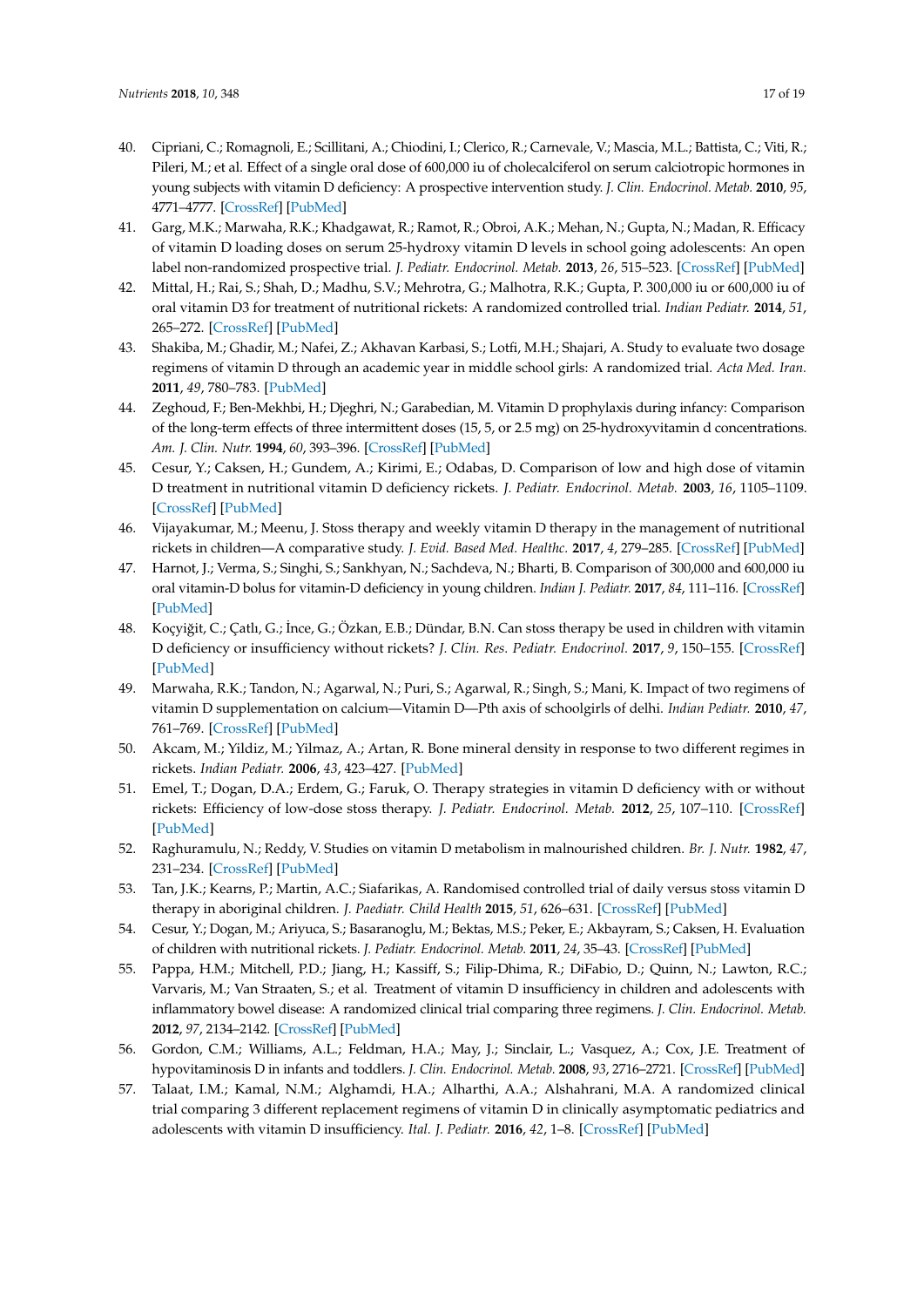- <span id="page-19-0"></span>40. Cipriani, C.; Romagnoli, E.; Scillitani, A.; Chiodini, I.; Clerico, R.; Carnevale, V.; Mascia, M.L.; Battista, C.; Viti, R.; Pileri, M.; et al. Effect of a single oral dose of 600,000 iu of cholecalciferol on serum calciotropic hormones in young subjects with vitamin D deficiency: A prospective intervention study. *J. Clin. Endocrinol. Metab.* **2010**, *95*, 4771–4777. [\[CrossRef\]](http://dx.doi.org/10.1210/jc.2010-0502) [\[PubMed\]](http://www.ncbi.nlm.nih.gov/pubmed/20660032)
- <span id="page-19-1"></span>41. Garg, M.K.; Marwaha, R.K.; Khadgawat, R.; Ramot, R.; Obroi, A.K.; Mehan, N.; Gupta, N.; Madan, R. Efficacy of vitamin D loading doses on serum 25-hydroxy vitamin D levels in school going adolescents: An open label non-randomized prospective trial. *J. Pediatr. Endocrinol. Metab.* **2013**, *26*, 515–523. [\[CrossRef\]](http://dx.doi.org/10.1515/jpem-2012-0390) [\[PubMed\]](http://www.ncbi.nlm.nih.gov/pubmed/23509211)
- 42. Mittal, H.; Rai, S.; Shah, D.; Madhu, S.V.; Mehrotra, G.; Malhotra, R.K.; Gupta, P. 300,000 iu or 600,000 iu of oral vitamin D3 for treatment of nutritional rickets: A randomized controlled trial. *Indian Pediatr.* **2014**, *51*, 265–272. [\[CrossRef\]](http://dx.doi.org/10.1007/s13312-014-0399-7) [\[PubMed\]](http://www.ncbi.nlm.nih.gov/pubmed/24825262)
- 43. Shakiba, M.; Ghadir, M.; Nafei, Z.; Akhavan Karbasi, S.; Lotfi, M.H.; Shajari, A. Study to evaluate two dosage regimens of vitamin D through an academic year in middle school girls: A randomized trial. *Acta Med. Iran.* **2011**, *49*, 780–783. [\[PubMed\]](http://www.ncbi.nlm.nih.gov/pubmed/22174164)
- 44. Zeghoud, F.; Ben-Mekhbi, H.; Djeghri, N.; Garabedian, M. Vitamin D prophylaxis during infancy: Comparison of the long-term effects of three intermittent doses (15, 5, or 2.5 mg) on 25-hydroxyvitamin d concentrations. *Am. J. Clin. Nutr.* **1994**, *60*, 393–396. [\[CrossRef\]](http://dx.doi.org/10.1093/ajcn/60.3.393) [\[PubMed\]](http://www.ncbi.nlm.nih.gov/pubmed/8074071)
- <span id="page-19-6"></span>45. Cesur, Y.; Caksen, H.; Gundem, A.; Kirimi, E.; Odabas, D. Comparison of low and high dose of vitamin D treatment in nutritional vitamin D deficiency rickets. *J. Pediatr. Endocrinol. Metab.* **2003**, *16*, 1105–1109. [\[CrossRef\]](http://dx.doi.org/10.1515/JPEM.2003.16.8.1105) [\[PubMed\]](http://www.ncbi.nlm.nih.gov/pubmed/14594170)
- <span id="page-19-4"></span>46. Vijayakumar, M.; Meenu, J. Stoss therapy and weekly vitamin D therapy in the management of nutritional rickets in children—A comparative study. *J. Evid. Based Med. Healthc.* **2017**, *4*, 279–285. [\[CrossRef\]](http://dx.doi.org/10.18410/jebmh/2017/53) [\[PubMed\]](http://www.ncbi.nlm.nih.gov/pubmed/29450074)
- <span id="page-19-7"></span>47. Harnot, J.; Verma, S.; Singhi, S.; Sankhyan, N.; Sachdeva, N.; Bharti, B. Comparison of 300,000 and 600,000 iu oral vitamin-D bolus for vitamin-D deficiency in young children. *Indian J. Pediatr.* **2017**, *84*, 111–116. [\[CrossRef\]](http://dx.doi.org/10.1007/s12098-016-2233-9) [\[PubMed\]](http://www.ncbi.nlm.nih.gov/pubmed/27683282)
- 48. Koçyiğit, C.; Çatlı, G.; İnce, G.; Özkan, E.B.; Dündar, B.N. Can stoss therapy be used in children with vitamin D deficiency or insufficiency without rickets? *J. Clin. Res. Pediatr. Endocrinol.* **2017**, *9*, 150–155. [\[CrossRef\]](http://dx.doi.org/10.4274/jcrpe.3842) [\[PubMed\]](http://www.ncbi.nlm.nih.gov/pubmed/28077342)
- 49. Marwaha, R.K.; Tandon, N.; Agarwal, N.; Puri, S.; Agarwal, R.; Singh, S.; Mani, K. Impact of two regimens of vitamin D supplementation on calcium—Vitamin D—Pth axis of schoolgirls of delhi. *Indian Pediatr.* **2010**, *47*, 761–769. [\[CrossRef\]](http://dx.doi.org/10.1007/s13312-010-0116-0) [\[PubMed\]](http://www.ncbi.nlm.nih.gov/pubmed/20308769)
- <span id="page-19-2"></span>50. Akcam, M.; Yildiz, M.; Yilmaz, A.; Artan, R. Bone mineral density in response to two different regimes in rickets. *Indian Pediatr.* **2006**, *43*, 423–427. [\[PubMed\]](http://www.ncbi.nlm.nih.gov/pubmed/16735766)
- <span id="page-19-3"></span>51. Emel, T.; Dogan, D.A.; Erdem, G.; Faruk, O. Therapy strategies in vitamin D deficiency with or without rickets: Efficiency of low-dose stoss therapy. *J. Pediatr. Endocrinol. Metab.* **2012**, *25*, 107–110. [\[CrossRef\]](http://dx.doi.org/10.1515/jpem-2011-0368) [\[PubMed\]](http://www.ncbi.nlm.nih.gov/pubmed/22570958)
- <span id="page-19-10"></span>52. Raghuramulu, N.; Reddy, V. Studies on vitamin D metabolism in malnourished children. *Br. J. Nutr.* **1982**, *47*, 231–234. [\[CrossRef\]](http://dx.doi.org/10.1079/BJN19820030) [\[PubMed\]](http://www.ncbi.nlm.nih.gov/pubmed/6279142)
- 53. Tan, J.K.; Kearns, P.; Martin, A.C.; Siafarikas, A. Randomised controlled trial of daily versus stoss vitamin D therapy in aboriginal children. *J. Paediatr. Child Health* **2015**, *51*, 626–631. [\[CrossRef\]](http://dx.doi.org/10.1111/jpc.12781) [\[PubMed\]](http://www.ncbi.nlm.nih.gov/pubmed/25523190)
- 54. Cesur, Y.; Dogan, M.; Ariyuca, S.; Basaranoglu, M.; Bektas, M.S.; Peker, E.; Akbayram, S.; Caksen, H. Evaluation of children with nutritional rickets. *J. Pediatr. Endocrinol. Metab.* **2011**, *24*, 35–43. [\[CrossRef\]](http://dx.doi.org/10.1515/jpem.2011.108) [\[PubMed\]](http://www.ncbi.nlm.nih.gov/pubmed/21528813)
- <span id="page-19-8"></span>55. Pappa, H.M.; Mitchell, P.D.; Jiang, H.; Kassiff, S.; Filip-Dhima, R.; DiFabio, D.; Quinn, N.; Lawton, R.C.; Varvaris, M.; Van Straaten, S.; et al. Treatment of vitamin D insufficiency in children and adolescents with inflammatory bowel disease: A randomized clinical trial comparing three regimens. *J. Clin. Endocrinol. Metab.* **2012**, *97*, 2134–2142. [\[CrossRef\]](http://dx.doi.org/10.1210/jc.2011-3182) [\[PubMed\]](http://www.ncbi.nlm.nih.gov/pubmed/22456619)
- <span id="page-19-9"></span>56. Gordon, C.M.; Williams, A.L.; Feldman, H.A.; May, J.; Sinclair, L.; Vasquez, A.; Cox, J.E. Treatment of hypovitaminosis D in infants and toddlers. *J. Clin. Endocrinol. Metab.* **2008**, *93*, 2716–2721. [\[CrossRef\]](http://dx.doi.org/10.1210/jc.2007-2790) [\[PubMed\]](http://www.ncbi.nlm.nih.gov/pubmed/18413426)
- <span id="page-19-5"></span>57. Talaat, I.M.; Kamal, N.M.; Alghamdi, H.A.; Alharthi, A.A.; Alshahrani, M.A. A randomized clinical trial comparing 3 different replacement regimens of vitamin D in clinically asymptomatic pediatrics and adolescents with vitamin D insufficiency. *Ital. J. Pediatr.* **2016**, *42*, 1–8. [\[CrossRef\]](http://dx.doi.org/10.1186/s13052-016-0314-z) [\[PubMed\]](http://www.ncbi.nlm.nih.gov/pubmed/27927221)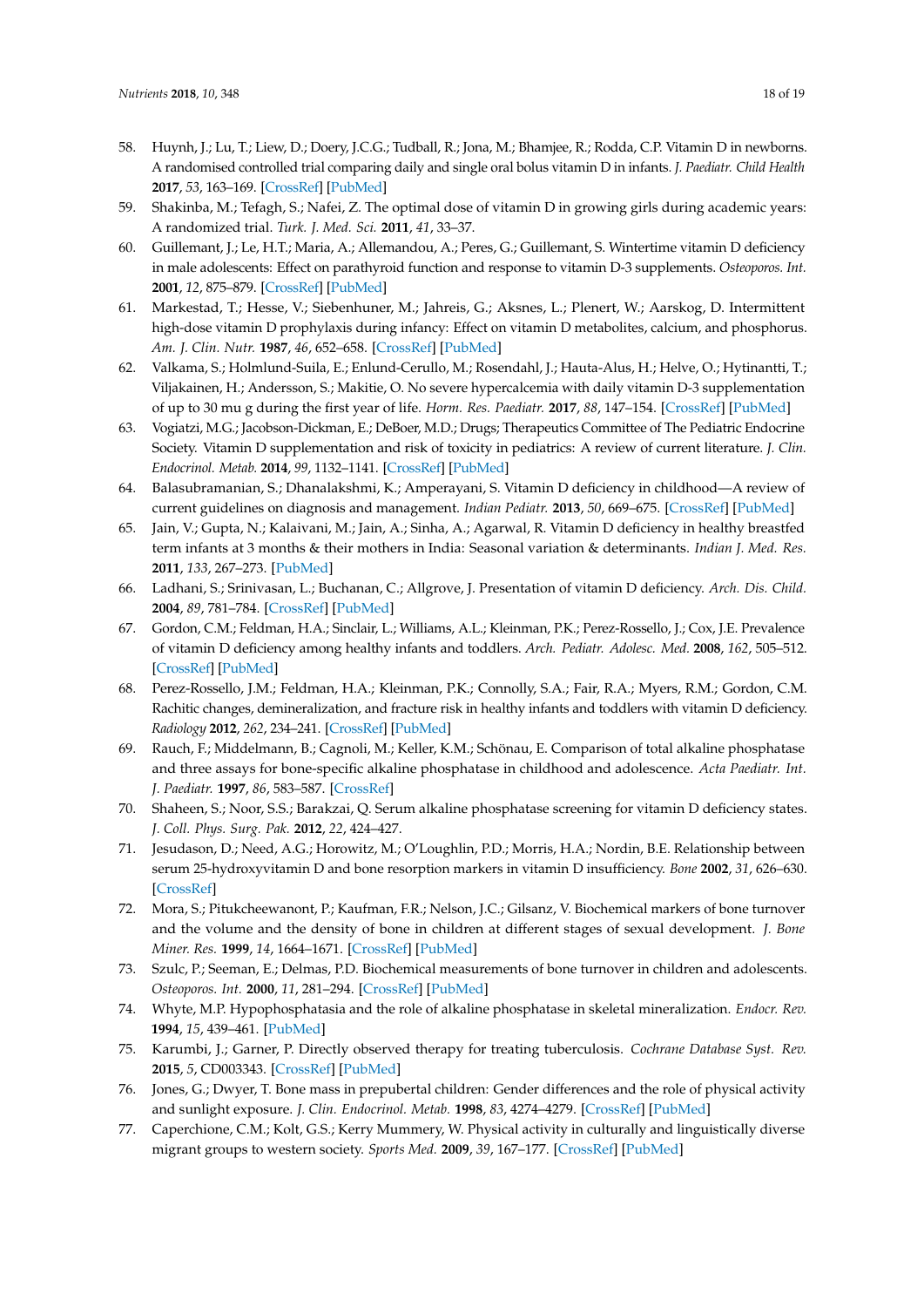- <span id="page-20-0"></span>58. Huynh, J.; Lu, T.; Liew, D.; Doery, J.C.G.; Tudball, R.; Jona, M.; Bhamjee, R.; Rodda, C.P. Vitamin D in newborns. A randomised controlled trial comparing daily and single oral bolus vitamin D in infants. *J. Paediatr. Child Health* **2017**, *53*, 163–169. [\[CrossRef\]](http://dx.doi.org/10.1111/jpc.13338) [\[PubMed\]](http://www.ncbi.nlm.nih.gov/pubmed/27670154)
- <span id="page-20-1"></span>59. Shakinba, M.; Tefagh, S.; Nafei, Z. The optimal dose of vitamin D in growing girls during academic years: A randomized trial. *Turk. J. Med. Sci.* **2011**, *41*, 33–37.
- <span id="page-20-2"></span>60. Guillemant, J.; Le, H.T.; Maria, A.; Allemandou, A.; Peres, G.; Guillemant, S. Wintertime vitamin D deficiency in male adolescents: Effect on parathyroid function and response to vitamin D-3 supplements. *Osteoporos. Int.* **2001**, *12*, 875–879. [\[CrossRef\]](http://dx.doi.org/10.1007/s001980170040) [\[PubMed\]](http://www.ncbi.nlm.nih.gov/pubmed/11716192)
- <span id="page-20-3"></span>61. Markestad, T.; Hesse, V.; Siebenhuner, M.; Jahreis, G.; Aksnes, L.; Plenert, W.; Aarskog, D. Intermittent high-dose vitamin D prophylaxis during infancy: Effect on vitamin D metabolites, calcium, and phosphorus. *Am. J. Clin. Nutr.* **1987**, *46*, 652–658. [\[CrossRef\]](http://dx.doi.org/10.1093/ajcn/46.4.652) [\[PubMed\]](http://www.ncbi.nlm.nih.gov/pubmed/3499065)
- <span id="page-20-4"></span>62. Valkama, S.; Holmlund-Suila, E.; Enlund-Cerullo, M.; Rosendahl, J.; Hauta-Alus, H.; Helve, O.; Hytinantti, T.; Viljakainen, H.; Andersson, S.; Makitie, O. No severe hypercalcemia with daily vitamin D-3 supplementation of up to 30 mu g during the first year of life. *Horm. Res. Paediatr.* **2017**, *88*, 147–154. [\[CrossRef\]](http://dx.doi.org/10.1159/000477298) [\[PubMed\]](http://www.ncbi.nlm.nih.gov/pubmed/28647736)
- <span id="page-20-5"></span>63. Vogiatzi, M.G.; Jacobson-Dickman, E.; DeBoer, M.D.; Drugs; Therapeutics Committee of The Pediatric Endocrine Society. Vitamin D supplementation and risk of toxicity in pediatrics: A review of current literature. *J. Clin. Endocrinol. Metab.* **2014**, *99*, 1132–1141. [\[CrossRef\]](http://dx.doi.org/10.1210/jc.2013-3655) [\[PubMed\]](http://www.ncbi.nlm.nih.gov/pubmed/24456284)
- <span id="page-20-6"></span>64. Balasubramanian, S.; Dhanalakshmi, K.; Amperayani, S. Vitamin D deficiency in childhood—A review of current guidelines on diagnosis and management. *Indian Pediatr.* **2013**, *50*, 669–675. [\[CrossRef\]](http://dx.doi.org/10.1007/s13312-013-0200-3) [\[PubMed\]](http://www.ncbi.nlm.nih.gov/pubmed/23942432)
- <span id="page-20-7"></span>65. Jain, V.; Gupta, N.; Kalaivani, M.; Jain, A.; Sinha, A.; Agarwal, R. Vitamin D deficiency in healthy breastfed term infants at 3 months & their mothers in India: Seasonal variation & determinants. *Indian J. Med. Res.* **2011**, *133*, 267–273. [\[PubMed\]](http://www.ncbi.nlm.nih.gov/pubmed/21441679)
- <span id="page-20-8"></span>66. Ladhani, S.; Srinivasan, L.; Buchanan, C.; Allgrove, J. Presentation of vitamin D deficiency. *Arch. Dis. Child.* **2004**, *89*, 781–784. [\[CrossRef\]](http://dx.doi.org/10.1136/adc.2003.031385) [\[PubMed\]](http://www.ncbi.nlm.nih.gov/pubmed/15269083)
- <span id="page-20-9"></span>67. Gordon, C.M.; Feldman, H.A.; Sinclair, L.; Williams, A.L.; Kleinman, P.K.; Perez-Rossello, J.; Cox, J.E. Prevalence of vitamin D deficiency among healthy infants and toddlers. *Arch. Pediatr. Adolesc. Med.* **2008**, *162*, 505–512. [\[CrossRef\]](http://dx.doi.org/10.1001/archpedi.162.6.505) [\[PubMed\]](http://www.ncbi.nlm.nih.gov/pubmed/18524739)
- <span id="page-20-10"></span>68. Perez-Rossello, J.M.; Feldman, H.A.; Kleinman, P.K.; Connolly, S.A.; Fair, R.A.; Myers, R.M.; Gordon, C.M. Rachitic changes, demineralization, and fracture risk in healthy infants and toddlers with vitamin D deficiency. *Radiology* **2012**, *262*, 234–241. [\[CrossRef\]](http://dx.doi.org/10.1148/radiol.11110358) [\[PubMed\]](http://www.ncbi.nlm.nih.gov/pubmed/22106354)
- <span id="page-20-11"></span>69. Rauch, F.; Middelmann, B.; Cagnoli, M.; Keller, K.M.; Schönau, E. Comparison of total alkaline phosphatase and three assays for bone-specific alkaline phosphatase in childhood and adolescence. *Acta Paediatr. Int. J. Paediatr.* **1997**, *86*, 583–587. [\[CrossRef\]](http://dx.doi.org/10.1111/j.1651-2227.1997.tb08938.x)
- <span id="page-20-12"></span>70. Shaheen, S.; Noor, S.S.; Barakzai, Q. Serum alkaline phosphatase screening for vitamin D deficiency states. *J. Coll. Phys. Surg. Pak.* **2012**, *22*, 424–427.
- <span id="page-20-13"></span>71. Jesudason, D.; Need, A.G.; Horowitz, M.; O'Loughlin, P.D.; Morris, H.A.; Nordin, B.E. Relationship between serum 25-hydroxyvitamin D and bone resorption markers in vitamin D insufficiency. *Bone* **2002**, *31*, 626–630. [\[CrossRef\]](http://dx.doi.org/10.1016/S8756-3282(02)00866-9)
- 72. Mora, S.; Pitukcheewanont, P.; Kaufman, F.R.; Nelson, J.C.; Gilsanz, V. Biochemical markers of bone turnover and the volume and the density of bone in children at different stages of sexual development. *J. Bone Miner. Res.* **1999**, *14*, 1664–1671. [\[CrossRef\]](http://dx.doi.org/10.1359/jbmr.1999.14.10.1664) [\[PubMed\]](http://www.ncbi.nlm.nih.gov/pubmed/10491213)
- 73. Szulc, P.; Seeman, E.; Delmas, P.D. Biochemical measurements of bone turnover in children and adolescents. *Osteoporos. Int.* **2000**, *11*, 281–294. [\[CrossRef\]](http://dx.doi.org/10.1007/s001980070116) [\[PubMed\]](http://www.ncbi.nlm.nih.gov/pubmed/10928217)
- <span id="page-20-14"></span>74. Whyte, M.P. Hypophosphatasia and the role of alkaline phosphatase in skeletal mineralization. *Endocr. Rev.* **1994**, *15*, 439–461. [\[PubMed\]](http://www.ncbi.nlm.nih.gov/pubmed/7988481)
- <span id="page-20-15"></span>75. Karumbi, J.; Garner, P. Directly observed therapy for treating tuberculosis. *Cochrane Database Syst. Rev.* **2015**, *5*, CD003343. [\[CrossRef\]](http://dx.doi.org/10.1002/14651858.CD003343.pub4) [\[PubMed\]](http://www.ncbi.nlm.nih.gov/pubmed/26022367)
- <span id="page-20-16"></span>76. Jones, G.; Dwyer, T. Bone mass in prepubertal children: Gender differences and the role of physical activity and sunlight exposure. *J. Clin. Endocrinol. Metab.* **1998**, *83*, 4274–4279. [\[CrossRef\]](http://dx.doi.org/10.1210/jc.83.12.4274) [\[PubMed\]](http://www.ncbi.nlm.nih.gov/pubmed/9851763)
- <span id="page-20-17"></span>77. Caperchione, C.M.; Kolt, G.S.; Kerry Mummery, W. Physical activity in culturally and linguistically diverse migrant groups to western society. *Sports Med.* **2009**, *39*, 167–177. [\[CrossRef\]](http://dx.doi.org/10.2165/00007256-200939030-00001) [\[PubMed\]](http://www.ncbi.nlm.nih.gov/pubmed/19290674)